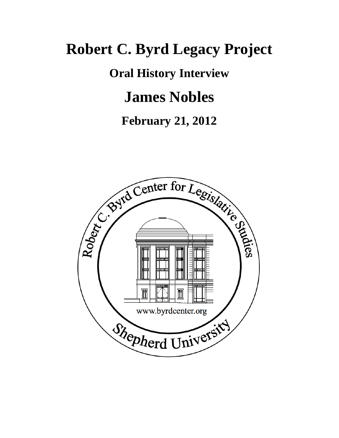# **Robert C. Byrd Legacy Project**

**Oral History Interview**

## **James Nobles**

### **February 21, 2012**

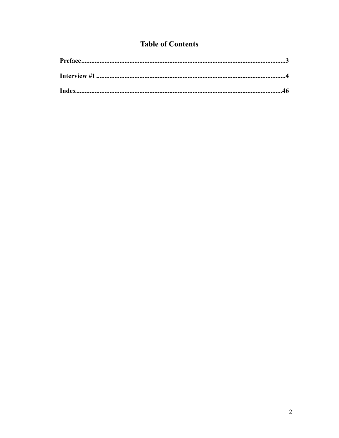### **Table of Contents**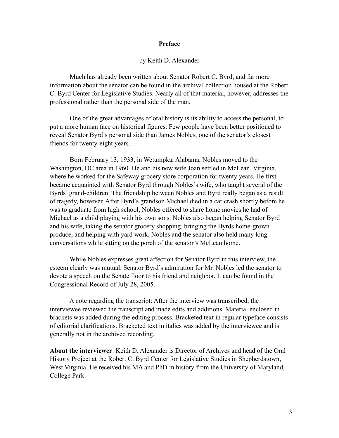#### <span id="page-2-0"></span>**Preface**

#### by Keith D. Alexander

 Much has already been written about Senator Robert C. Byrd, and far more information about the senator can be found in the archival collection housed at the Robert C. Byrd Center for Legislative Studies. Nearly all of that material, however, addresses the professional rather than the personal side of the man.

 One of the great advantages of oral history is its ability to access the personal, to put a more human face on historical figures. Few people have been better positioned to reveal Senator Byrd's personal side than James Nobles, one of the senator's closest friends for twenty-eight years.

 Born February 13, 1933, in Wetumpka, Alabama, Nobles moved to the Washington, DC area in 1960. He and his new wife Joan settled in McLean, Virginia, where he worked for the Safeway grocery store corporation for twenty years. He first became acquainted with Senator Byrd through Nobles's wife, who taught several of the Byrds' grand-children. The friendship between Nobles and Byrd really began as a result of tragedy, however. After Byrd's grandson Michael died in a car crash shortly before he was to graduate from high school, Nobles offered to share home movies he had of Michael as a child playing with his own sons. Nobles also began helping Senator Byrd and his wife, taking the senator grocery shopping, bringing the Byrds home-grown produce, and helping with yard work. Nobles and the senator also held many long conversations while sitting on the porch of the senator's McLean home.

 While Nobles expresses great affection for Senator Byrd in this interview, the esteem clearly was mutual. Senator Byrd's admiration for Mr. Nobles led the senator to devote a speech on the Senate floor to his friend and neighbor. It can be found in the Congressional Record of July 28, 2005.

 A note regarding the transcript: After the interview was transcribed, the interviewee reviewed the transcript and made edits and additions. Material enclosed in brackets was added during the editing process. Bracketed text in regular typeface consists of editorial clarifications. Bracketed text in italics was added by the interviewee and is generally not in the archived recording.

**About the interviewer**: Keith D. Alexander is Director of Archives and head of the Oral History Project at the Robert C. Byrd Center for Legislative Studies in Shepherdstown, West Virginia. He received his MA and PhD in history from the University of Maryland, College Park.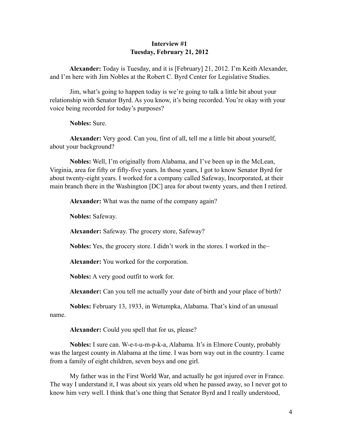#### <span id="page-3-0"></span>**Interview #1 Tuesday, February 21, 2012**

 **Alexander:** Today is Tuesday, and it is [February] 21, 2012. I'm Keith Alexander, and I'm here with Jim Nobles at the Robert C. Byrd Center for Legislative Studies.

 Jim, what's going to happen today is we're going to talk a little bit about your relationship with Senator Byrd. As you know, it's being recorded. You're okay with your voice being recorded for today's purposes?

**Nobles:** Sure.

**Alexander:** Very good. Can you, first of all, tell me a little bit about yourself, about your background?

**Nobles:** Well, I'm originally from Alabama, and I've been up in the McLean, Virginia, area for fifty or fifty-five years. In those years, I got to know Senator Byrd for about twenty-eight years. I worked for a company called Safeway, Incorporated, at their main branch there in the Washington [DC] area for about twenty years, and then I retired.

**Alexander:** What was the name of the company again?

**Nobles:** Safeway.

**Alexander:** Safeway. The grocery store, Safeway?

**Nobles:** Yes, the grocery store. I didn't work in the stores. I worked in the–

**Alexander:** You worked for the corporation.

**Nobles:** A very good outfit to work for.

**Alexander:** Can you tell me actually your date of birth and your place of birth?

**Nobles:** February 13, 1933, in Wetumpka, Alabama. That's kind of an unusual name.

**Alexander:** Could you spell that for us, please?

**Nobles:** I sure can. W-e-t-u-m-p-k-a, Alabama. It's in Elmore County, probably was the largest county in Alabama at the time. I was born way out in the country. I came from a family of eight children, seven boys and one girl.

 My father was in the First World War, and actually he got injured over in France. The way I understand it, I was about six years old when he passed away, so I never got to know him very well. I think that's one thing that Senator Byrd and I really understood,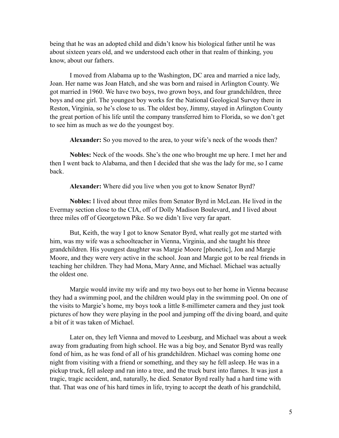being that he was an adopted child and didn't know his biological father until he was about sixteen years old, and we understood each other in that realm of thinking, you know, about our fathers.

 I moved from Alabama up to the Washington, DC area and married a nice lady, Joan. Her name was Joan Hatch, and she was born and raised in Arlington County. We got married in 1960. We have two boys, two grown boys, and four grandchildren, three boys and one girl. The youngest boy works for the National Geological Survey there in Reston, Virginia, so he's close to us. The oldest boy, Jimmy, stayed in Arlington County the great portion of his life until the company transferred him to Florida, so we don't get to see him as much as we do the youngest boy.

**Alexander:** So you moved to the area, to your wife's neck of the woods then?

**Nobles:** Neck of the woods. She's the one who brought me up here. I met her and then I went back to Alabama, and then I decided that she was the lady for me, so I came back.

**Alexander:** Where did you live when you got to know Senator Byrd?

**Nobles:** I lived about three miles from Senator Byrd in McLean. He lived in the Evermay section close to the CIA, off of Dolly Madison Boulevard, and I lived about three miles off of Georgetown Pike. So we didn't live very far apart.

 But, Keith, the way I got to know Senator Byrd, what really got me started with him, was my wife was a schoolteacher in Vienna, Virginia, and she taught his three grandchildren. His youngest daughter was Margie Moore [phonetic], Jon and Margie Moore, and they were very active in the school. Joan and Margie got to be real friends in teaching her children. They had Mona, Mary Anne, and Michael. Michael was actually the oldest one.

 Margie would invite my wife and my two boys out to her home in Vienna because they had a swimming pool, and the children would play in the swimming pool. On one of the visits to Margie's home, my boys took a little 8-millimeter camera and they just took pictures of how they were playing in the pool and jumping off the diving board, and quite a bit of it was taken of Michael.

Later on, they left Vienna and moved to Leesburg, and Michael was about a week away from graduating from high school. He was a big boy, and Senator Byrd was really fond of him, as he was fond of all of his grandchildren. Michael was coming home one night from visiting with a friend or something, and they say he fell asleep. He was in a pickup truck, fell asleep and ran into a tree, and the truck burst into flames. It was just a tragic, tragic accident, and, naturally, he died. Senator Byrd really had a hard time with that. That was one of his hard times in life, trying to accept the death of his grandchild,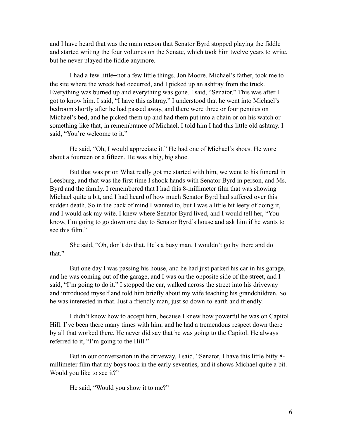and I have heard that was the main reason that Senator Byrd stopped playing the fiddle and started writing the four volumes on the Senate, which took him twelve years to write, but he never played the fiddle anymore.

 I had a few little—not a few little things. Jon Moore, Michael's father, took me to the site where the wreck had occurred, and I picked up an ashtray from the truck. Everything was burned up and everything was gone. I said, "Senator." This was after I got to know him. I said, "I have this ashtray." I understood that he went into Michael's bedroom shortly after he had passed away, and there were three or four pennies on Michael's bed, and he picked them up and had them put into a chain or on his watch or something like that, in remembrance of Michael. I told him I had this little old ashtray. I said, "You're welcome to it."

 He said, "Oh, I would appreciate it." He had one of Michael's shoes. He wore about a fourteen or a fifteen. He was a big, big shoe.

 But that was prior. What really got me started with him, we went to his funeral in Leesburg, and that was the first time I shook hands with Senator Byrd in person, and Ms. Byrd and the family. I remembered that I had this 8-millimeter film that was showing Michael quite a bit, and I had heard of how much Senator Byrd had suffered over this sudden death. So in the back of mind I wanted to, but I was a little bit leery of doing it, and I would ask my wife. I knew where Senator Byrd lived, and I would tell her, "You know, I'm going to go down one day to Senator Byrd's house and ask him if he wants to see this film."

 She said, "Oh, don't do that. He's a busy man. I wouldn't go by there and do that."

 But one day I was passing his house, and he had just parked his car in his garage, and he was coming out of the garage, and I was on the opposite side of the street, and I said, "I'm going to do it." I stopped the car, walked across the street into his driveway and introduced myself and told him briefly about my wife teaching his grandchildren. So he was interested in that. Just a friendly man, just so down-to-earth and friendly.

 I didn't know how to accept him, because I knew how powerful he was on Capitol Hill. I've been there many times with him, and he had a tremendous respect down there by all that worked there. He never did say that he was going to the Capitol. He always referred to it, "I'm going to the Hill."

 But in our conversation in the driveway, I said, "Senator, I have this little bitty 8 millimeter film that my boys took in the early seventies, and it shows Michael quite a bit. Would you like to see it?"

He said, "Would you show it to me?"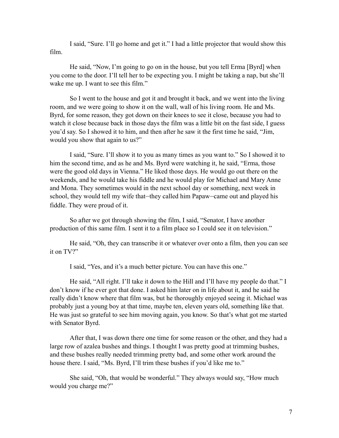I said, "Sure. I'll go home and get it." I had a little projector that would show this film.

 He said, "Now, I'm going to go on in the house, but you tell Erma [Byrd] when you come to the door. I'll tell her to be expecting you. I might be taking a nap, but she'll wake me up. I want to see this film."

 So I went to the house and got it and brought it back, and we went into the living room, and we were going to show it on the wall, wall of his living room. He and Ms. Byrd, for some reason, they got down on their knees to see it close, because you had to watch it close because back in those days the film was a little bit on the fast side, I guess you'd say. So I showed it to him, and then after he saw it the first time he said, "Jim, would you show that again to us?"

 I said, "Sure. I'll show it to you as many times as you want to." So I showed it to him the second time, and as he and Ms. Byrd were watching it, he said, "Erma, those were the good old days in Vienna." He liked those days. He would go out there on the weekends, and he would take his fiddle and he would play for Michael and Mary Anne and Mona. They sometimes would in the next school day or something, next week in school, they would tell my wife that—they called him Papaw—came out and played his fiddle. They were proud of it.

 So after we got through showing the film, I said, "Senator, I have another production of this same film. I sent it to a film place so I could see it on television."

 He said, "Oh, they can transcribe it or whatever over onto a film, then you can see it on TV?"

I said, "Yes, and it's a much better picture. You can have this one."

 He said, "All right. I'll take it down to the Hill and I'll have my people do that." I don't know if he ever got that done. I asked him later on in life about it, and he said he really didn't know where that film was, but he thoroughly enjoyed seeing it. Michael was probably just a young boy at that time, maybe ten, eleven years old, something like that. He was just so grateful to see him moving again, you know. So that's what got me started with Senator Byrd.

After that, I was down there one time for some reason or the other, and they had a large row of azalea bushes and things. I thought I was pretty good at trimming bushes, and these bushes really needed trimming pretty bad, and some other work around the house there. I said, "Ms. Byrd, I'll trim these bushes if you'd like me to."

 She said, "Oh, that would be wonderful." They always would say, "How much would you charge me?"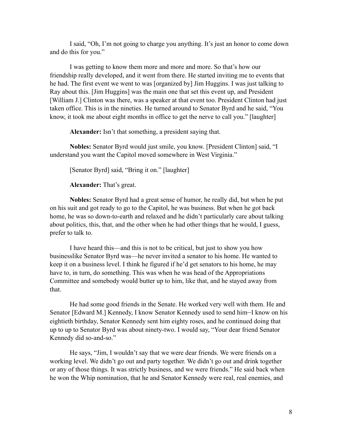I said, "Oh, I'm not going to charge you anything. It's just an honor to come down and do this for you."

 I was getting to know them more and more and more. So that's how our friendship really developed, and it went from there. He started inviting me to events that he had. The first event we went to was [organized by] Jim Huggins. I was just talking to Ray about this. [Jim Huggins] was the main one that set this event up, and President [William J.] Clinton was there, was a speaker at that event too. President Clinton had just taken office. This is in the nineties. He turned around to Senator Byrd and he said, "You know, it took me about eight months in office to get the nerve to call you." [laughter]

**Alexander:** Isn't that something, a president saying that.

**Nobles:** Senator Byrd would just smile, you know. [President Clinton] said, "I understand you want the Capitol moved somewhere in West Virginia."

[Senator Byrd] said, "Bring it on." [laughter]

**Alexander:** That's great.

**Nobles:** Senator Byrd had a great sense of humor, he really did, but when he put on his suit and got ready to go to the Capitol, he was business. But when he got back home, he was so down-to-earth and relaxed and he didn't particularly care about talking about politics, this, that, and the other when he had other things that he would, I guess, prefer to talk to.

I have heard this—and this is not to be critical, but just to show you how businesslike Senator Byrd was—he never invited a senator to his home. He wanted to keep it on a business level. I think he figured if he'd get senators to his home, he may have to, in turn, do something. This was when he was head of the Appropriations Committee and somebody would butter up to him, like that, and he stayed away from that.

 He had some good friends in the Senate. He worked very well with them. He and Senator [Edward M.] Kennedy, I know Senator Kennedy used to send him—I know on his eightieth birthday, Senator Kennedy sent him eighty roses, and he continued doing that up to up to Senator Byrd was about ninety-two. I would say, "Your dear friend Senator Kennedy did so-and-so."

 He says, "Jim, I wouldn't say that we were dear friends. We were friends on a working level. We didn't go out and party together. We didn't go out and drink together or any of those things. It was strictly business, and we were friends." He said back when he won the Whip nomination, that he and Senator Kennedy were real, real enemies, and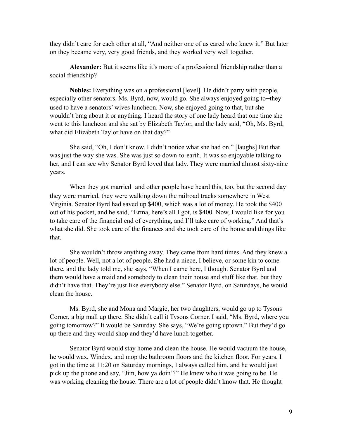they didn't care for each other at all, "And neither one of us cared who knew it." But later on they became very, very good friends, and they worked very well together.

**Alexander:** But it seems like it's more of a professional friendship rather than a social friendship?

**Nobles:** Everything was on a professional [level]. He didn't party with people, especially other senators. Ms. Byrd, now, would go. She always enjoyed going to—they used to have a senators' wives luncheon. Now, she enjoyed going to that, but she wouldn't brag about it or anything. I heard the story of one lady heard that one time she went to this luncheon and she sat by Elizabeth Taylor, and the lady said, "Oh, Ms. Byrd, what did Elizabeth Taylor have on that day?"

 She said, "Oh, I don't know. I didn't notice what she had on." [laughs] But that was just the way she was. She was just so down-to-earth. It was so enjoyable talking to her, and I can see why Senator Byrd loved that lady. They were married almost sixty-nine years.

When they got married—and other people have heard this, too, but the second day they were married, they were walking down the railroad tracks somewhere in West Virginia. Senator Byrd had saved up \$400, which was a lot of money. He took the \$400 out of his pocket, and he said, "Erma, here's all I got, is \$400. Now, I would like for you to take care of the financial end of everything, and I'll take care of working." And that's what she did. She took care of the finances and she took care of the home and things like that.

 She wouldn't throw anything away. They came from hard times. And they knew a lot of people. Well, not a lot of people. She had a niece, I believe, or some kin to come there, and the lady told me, she says, "When I came here, I thought Senator Byrd and them would have a maid and somebody to clean their house and stuff like that, but they didn't have that. They're just like everybody else." Senator Byrd, on Saturdays, he would clean the house.

Ms. Byrd, she and Mona and Margie, her two daughters, would go up to Tysons Corner, a big mall up there. She didn't call it Tysons Corner. I said, "Ms. Byrd, where you going tomorrow?" It would be Saturday. She says, "We're going uptown." But they'd go up there and they would shop and they'd have lunch together.

 Senator Byrd would stay home and clean the house. He would vacuum the house, he would wax, Windex, and mop the bathroom floors and the kitchen floor. For years, I got in the time at 11:20 on Saturday mornings, I always called him, and he would just pick up the phone and say, "Jim, how ya doin'?" He knew who it was going to be. He was working cleaning the house. There are a lot of people didn't know that. He thought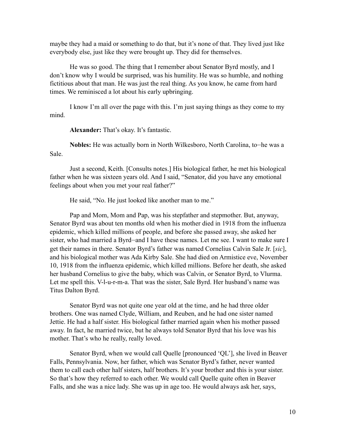maybe they had a maid or something to do that, but it's none of that. They lived just like everybody else, just like they were brought up. They did for themselves.

 He was so good. The thing that I remember about Senator Byrd mostly, and I don't know why I would be surprised, was his humility. He was so humble, and nothing fictitious about that man. He was just the real thing. As you know, he came from hard times. We reminisced a lot about his early upbringing.

 I know I'm all over the page with this. I'm just saying things as they come to my mind.

**Alexander:** That's okay. It's fantastic.

**Nobles:** He was actually born in North Wilkesboro, North Carolina, to—he was a Sale.

 Just a second, Keith. [Consults notes.] His biological father, he met his biological father when he was sixteen years old. And I said, "Senator, did you have any emotional feelings about when you met your real father?"

He said, "No. He just looked like another man to me."

 Pap and Mom, Mom and Pap, was his stepfather and stepmother. But, anyway, Senator Byrd was about ten months old when his mother died in 1918 from the influenza epidemic, which killed millions of people, and before she passed away, she asked her sister, who had married a Byrd—and I have these names. Let me see. I want to make sure I get their names in there. Senator Byrd's father was named Cornelius Calvin Sale Jr. [*sic*], and his biological mother was Ada Kirby Sale. She had died on Armistice eve, November 10, 1918 from the influenza epidemic, which killed millions. Before her death, she asked her husband Cornelius to give the baby, which was Calvin, or Senator Byrd, to Vlurma. Let me spell this. V-l-u-r-m-a. That was the sister, Sale Byrd. Her husband's name was Titus Dalton Byrd.

 Senator Byrd was not quite one year old at the time, and he had three older brothers. One was named Clyde, William, and Reuben, and he had one sister named Jettie. He had a half sister. His biological father married again when his mother passed away. In fact, he married twice, but he always told Senator Byrd that his love was his mother. That's who he really, really loved.

 Senator Byrd, when we would call Quelle [pronounced 'QL'], she lived in Beaver Falls, Pennsylvania. Now, her father, which was Senator Byrd's father, never wanted them to call each other half sisters, half brothers. It's your brother and this is your sister. So that's how they referred to each other. We would call Quelle quite often in Beaver Falls, and she was a nice lady. She was up in age too. He would always ask her, says,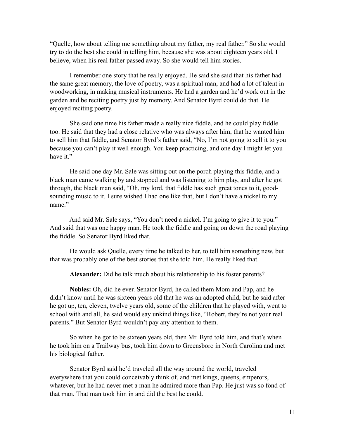"Quelle, how about telling me something about my father, my real father." So she would try to do the best she could in telling him, because she was about eighteen years old, I believe, when his real father passed away. So she would tell him stories.

I remember one story that he really enjoyed. He said she said that his father had the same great memory, the love of poetry, was a spiritual man, and had a lot of talent in woodworking, in making musical instruments. He had a garden and he'd work out in the garden and be reciting poetry just by memory. And Senator Byrd could do that. He enjoyed reciting poetry.

 She said one time his father made a really nice fiddle, and he could play fiddle too. He said that they had a close relative who was always after him, that he wanted him to sell him that fiddle, and Senator Byrd's father said, "No, I'm not going to sell it to you because you can't play it well enough. You keep practicing, and one day I might let you have it."

 He said one day Mr. Sale was sitting out on the porch playing this fiddle, and a black man came walking by and stopped and was listening to him play, and after he got through, the black man said, "Oh, my lord, that fiddle has such great tones to it, goodsounding music to it. I sure wished I had one like that, but I don't have a nickel to my name."

 And said Mr. Sale says, "You don't need a nickel. I'm going to give it to you." And said that was one happy man. He took the fiddle and going on down the road playing the fiddle. So Senator Byrd liked that.

 He would ask Quelle, every time he talked to her, to tell him something new, but that was probably one of the best stories that she told him. He really liked that.

**Alexander:** Did he talk much about his relationship to his foster parents?

**Nobles:** Oh, did he ever. Senator Byrd, he called them Mom and Pap, and he didn't know until he was sixteen years old that he was an adopted child, but he said after he got up, ten, eleven, twelve years old, some of the children that he played with, went to school with and all, he said would say unkind things like, "Robert, they're not your real parents." But Senator Byrd wouldn't pay any attention to them.

 So when he got to be sixteen years old, then Mr. Byrd told him, and that's when he took him on a Trailway bus, took him down to Greensboro in North Carolina and met his biological father.

Senator Byrd said he'd traveled all the way around the world, traveled everywhere that you could conceivably think of, and met kings, queens, emperors, whatever, but he had never met a man he admired more than Pap. He just was so fond of that man. That man took him in and did the best he could.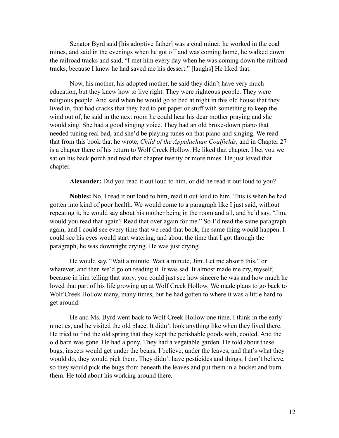Senator Byrd said [his adoptive father] was a coal miner, he worked in the coal mines, and said in the evenings when he got off and was coming home, he walked down the railroad tracks and said, "I met him every day when he was coming down the railroad tracks, because I knew he had saved me his dessert." [laughs] He liked that.

Now, his mother, his adopted mother, he said they didn't have very much education, but they knew how to live right. They were righteous people. They were religious people. And said when he would go to bed at night in this old house that they lived in, that had cracks that they had to put paper or stuff with something to keep the wind out of, he said in the next room he could hear his dear mother praying and she would sing. She had a good singing voice. They had an old broke-down piano that needed tuning real bad, and she'd be playing tunes on that piano and singing. We read that from this book that he wrote, *Child of the Appalachian Coalfields*, and in Chapter 27 is a chapter there of his return to Wolf Creek Hollow. He liked that chapter. I bet you we sat on his back porch and read that chapter twenty or more times. He just loved that chapter.

**Alexander:** Did you read it out loud to him, or did he read it out loud to you?

**Nobles:** No, I read it out loud to him, read it out loud to him. This is when he had gotten into kind of poor health. We would come to a paragraph like I just said, without repeating it, he would say about his mother being in the room and all, and he'd say, "Jim, would you read that again? Read that over again for me." So I'd read the same paragraph again, and I could see every time that we read that book, the same thing would happen. I could see his eyes would start watering, and about the time that I got through the paragraph, he was downright crying. He was just crying.

 He would say, "Wait a minute. Wait a minute, Jim. Let me absorb this," or whatever, and then we'd go on reading it. It was sad. It almost made me cry, myself, because in him telling that story, you could just see how sincere he was and how much he loved that part of his life growing up at Wolf Creek Hollow. We made plans to go back to Wolf Creek Hollow many, many times, but he had gotten to where it was a little hard to get around.

 He and Ms. Byrd went back to Wolf Creek Hollow one time, I think in the early nineties, and he visited the old place. It didn't look anything like when they lived there. He tried to find the old spring that they kept the perishable goods with, cooled. And the old barn was gone. He had a pony. They had a vegetable garden. He told about these bugs, insects would get under the beans, I believe, under the leaves, and that's what they would do, they would pick them. They didn't have pesticides and things, I don't believe, so they would pick the bugs from beneath the leaves and put them in a bucket and burn them. He told about his working around there.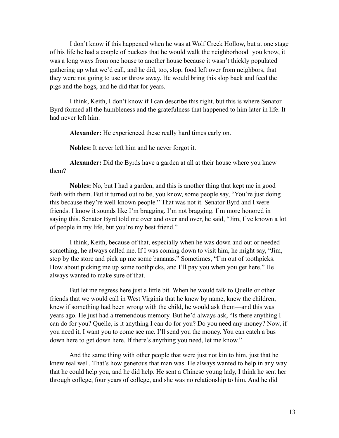I don't know if this happened when he was at Wolf Creek Hollow, but at one stage of his life he had a couple of buckets that he would walk the neighborhood—you know, it was a long ways from one house to another house because it wasn't thickly populated gathering up what we'd call, and he did, too, slop, food left over from neighbors, that they were not going to use or throw away. He would bring this slop back and feed the pigs and the hogs, and he did that for years.

 I think, Keith, I don't know if I can describe this right, but this is where Senator Byrd formed all the humbleness and the gratefulness that happened to him later in life. It had never left him.

**Alexander:** He experienced these really hard times early on.

**Nobles:** It never left him and he never forgot it.

**Alexander:** Did the Byrds have a garden at all at their house where you knew them?

**Nobles:** No, but I had a garden, and this is another thing that kept me in good faith with them. But it turned out to be, you know, some people say, "You're just doing this because they're well-known people." That was not it. Senator Byrd and I were friends. I know it sounds like I'm bragging. I'm not bragging. I'm more honored in saying this. Senator Byrd told me over and over and over, he said, "Jim, I've known a lot of people in my life, but you're my best friend."

 I think, Keith, because of that, especially when he was down and out or needed something, he always called me. If I was coming down to visit him, he might say, "Jim, stop by the store and pick up me some bananas." Sometimes, "I'm out of toothpicks. How about picking me up some toothpicks, and I'll pay you when you get here." He always wanted to make sure of that.

 But let me regress here just a little bit. When he would talk to Quelle or other friends that we would call in West Virginia that he knew by name, knew the children, knew if something had been wrong with the child, he would ask them—and this was years ago. He just had a tremendous memory. But he'd always ask, "Is there anything I can do for you? Quelle, is it anything I can do for you? Do you need any money? Now, if you need it, I want you to come see me. I'll send you the money. You can catch a bus down here to get down here. If there's anything you need, let me know."

 And the same thing with other people that were just not kin to him, just that he knew real well. That's how generous that man was. He always wanted to help in any way that he could help you, and he did help. He sent a Chinese young lady, I think he sent her through college, four years of college, and she was no relationship to him. And he did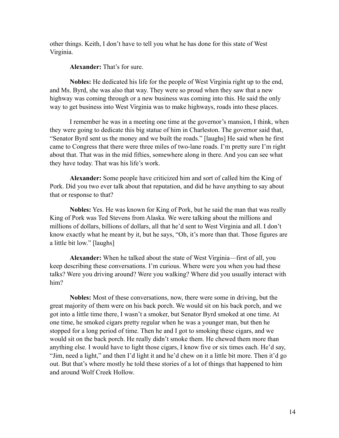other things. Keith, I don't have to tell you what he has done for this state of West Virginia.

**Alexander:** That's for sure.

**Nobles:** He dedicated his life for the people of West Virginia right up to the end, and Ms. Byrd, she was also that way. They were so proud when they saw that a new highway was coming through or a new business was coming into this. He said the only way to get business into West Virginia was to make highways, roads into these places.

 I remember he was in a meeting one time at the governor's mansion, I think, when they were going to dedicate this big statue of him in Charleston. The governor said that, "Senator Byrd sent us the money and we built the roads." [laughs] He said when he first came to Congress that there were three miles of two-lane roads. I'm pretty sure I'm right about that. That was in the mid fifties, somewhere along in there. And you can see what they have today. That was his life's work.

**Alexander:** Some people have criticized him and sort of called him the King of Pork. Did you two ever talk about that reputation, and did he have anything to say about that or response to that?

**Nobles:** Yes. He was known for King of Pork, but he said the man that was really King of Pork was Ted Stevens from Alaska. We were talking about the millions and millions of dollars, billions of dollars, all that he'd sent to West Virginia and all. I don't know exactly what he meant by it, but he says, "Oh, it's more than that. Those figures are a little bit low." [laughs]

**Alexander:** When he talked about the state of West Virginia—first of all, you keep describing these conversations. I'm curious. Where were you when you had these talks? Were you driving around? Were you walking? Where did you usually interact with him?

**Nobles:** Most of these conversations, now, there were some in driving, but the great majority of them were on his back porch. We would sit on his back porch, and we got into a little time there, I wasn't a smoker, but Senator Byrd smoked at one time. At one time, he smoked cigars pretty regular when he was a younger man, but then he stopped for a long period of time. Then he and I got to smoking these cigars, and we would sit on the back porch. He really didn't smoke them. He chewed them more than anything else. I would have to light those cigars, I know five or six times each. He'd say, "Jim, need a light," and then I'd light it and he'd chew on it a little bit more. Then it'd go out. But that's where mostly he told these stories of a lot of things that happened to him and around Wolf Creek Hollow.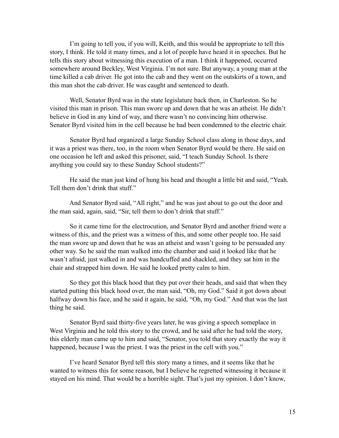I'm going to tell you, if you will, Keith, and this would be appropriate to tell this story, I think. He told it many times, and a lot of people have heard it in speeches. But he tells this story about witnessing this execution of a man. I think it happened, occurred somewhere around Beckley, West Virginia. I'm not sure. But anyway, a young man at the time killed a cab driver. He got into the cab and they went on the outskirts of a town, and this man shot the cab driver. He was caught and sentenced to death.

Well, Senator Byrd was in the state legislature back then, in Charleston. So he visited this man in prison. This man swore up and down that he was an atheist. He didn't believe in God in any kind of way, and there wasn't no convincing him otherwise. Senator Byrd visited him in the cell because he had been condemned to the electric chair.

Senator Byrd had organized a large Sunday School class along in those days, and it was a priest was there, too, in the room when Senator Byrd would be there. He said on one occasion he left and asked this prisoner, said, "I teach Sunday School. Is there anything you could say to these Sunday School students?"

 He said the man just kind of hung his head and thought a little bit and said, "Yeah. Tell them don't drink that stuff."

 And Senator Byrd said, "All right," and he was just about to go out the door and the man said, again, said, "Sir, tell them to don't drink that stuff."

 So it came time for the electrocution, and Senator Byrd and another friend were a witness of this, and the priest was a witness of this, and some other people too. He said the man swore up and down that he was an atheist and wasn't going to be persuaded any other way. So he said the man walked into the chamber and said it looked like that he wasn't afraid, just walked in and was handcuffed and shackled, and they sat him in the chair and strapped him down. He said he looked pretty calm to him.

 So they got this black hood that they put over their heads, and said that when they started putting this black hood over, the man said, "Oh, my God." Said it got down about halfway down his face, and he said it again, he said, "Oh, my God." And that was the last thing he said.

 Senator Byrd said thirty-five years later, he was giving a speech someplace in West Virginia and he told this story to the crowd, and he said after he had told the story, this elderly man came up to him and said, "Senator, you told that story exactly the way it happened, because I was the priest. I was the priest in the cell with you."

 I've heard Senator Byrd tell this story many a times, and it seems like that he wanted to witness this for some reason, but I believe he regretted witnessing it because it stayed on his mind. That would be a horrible sight. That's just my opinion. I don't know,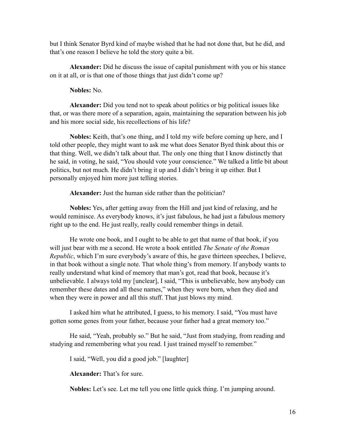but I think Senator Byrd kind of maybe wished that he had not done that, but he did, and that's one reason I believe he told the story quite a bit.

**Alexander:** Did he discuss the issue of capital punishment with you or his stance on it at all, or is that one of those things that just didn't come up?

#### **Nobles:** No.

**Alexander:** Did you tend not to speak about politics or big political issues like that, or was there more of a separation, again, maintaining the separation between his job and his more social side, his recollections of his life?

**Nobles:** Keith, that's one thing, and I told my wife before coming up here, and I told other people, they might want to ask me what does Senator Byrd think about this or that thing. Well, we didn't talk about that. The only one thing that I know distinctly that he said, in voting, he said, "You should vote your conscience." We talked a little bit about politics, but not much. He didn't bring it up and I didn't bring it up either. But I personally enjoyed him more just telling stories.

**Alexander:** Just the human side rather than the politician?

**Nobles:** Yes, after getting away from the Hill and just kind of relaxing, and he would reminisce. As everybody knows, it's just fabulous, he had just a fabulous memory right up to the end. He just really, really could remember things in detail.

 He wrote one book, and I ought to be able to get that name of that book, if you will just bear with me a second. He wrote a book entitled *The Senate of the Roman Republic*, which I'm sure everybody's aware of this, he gave thirteen speeches, I believe, in that book without a single note. That whole thing's from memory. If anybody wants to really understand what kind of memory that man's got, read that book, because it's unbelievable. I always told my [unclear], I said, "This is unbelievable, how anybody can remember these dates and all these names," when they were born, when they died and when they were in power and all this stuff. That just blows my mind.

 I asked him what he attributed, I guess, to his memory. I said, "You must have gotten some genes from your father, because your father had a great memory too."

 He said, "Yeah, probably so." But he said, "Just from studying, from reading and studying and remembering what you read. I just trained myself to remember."

I said, "Well, you did a good job." [laughter]

**Alexander:** That's for sure.

**Nobles:** Let's see. Let me tell you one little quick thing. I'm jumping around.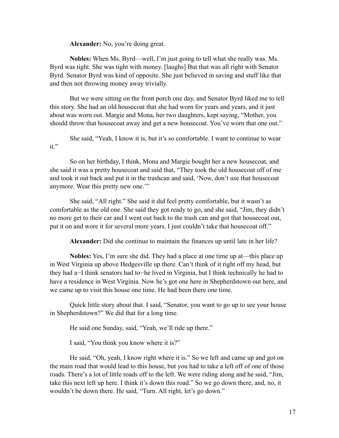**Alexander:** No, you're doing great.

**Nobles:** When Ms. Byrd—well, I'm just going to tell what she really was. Ms. Byrd was tight. She was tight with money. [laughs] But that was all right with Senator Byrd. Senator Byrd was kind of opposite. She just believed in saving and stuff like that and then not throwing money away trivially.

But we were sitting on the front porch one day, and Senator Byrd liked me to tell this story. She had an old housecoat that she had worn for years and years, and it just about was worn out. Margie and Mona, her two daughters, kept saying, "Mother, you should throw that housecoat away and get a new housecoat. You've worn that one out."

 She said, "Yeah, I know it is, but it's so comfortable. I want to continue to wear it."

 So on her birthday, I think, Mona and Margie bought her a new housecoat, and she said it was a pretty housecoat and said that, "They took the old housecoat off of me and took it out back and put it in the trashcan and said, 'Now, don't use that housecoat anymore. Wear this pretty new one.'"

She said, "All right." She said it did feel pretty comfortable, but it wasn't as comfortable as the old one. She said they got ready to go, and she said, "Jim, they didn't no more get to their car and I went out back to the trash can and got that housecoat out, put it on and wore it for several more years. I just couldn't take that housecoat off."

**Alexander:** Did she continue to maintain the finances up until late in her life?

**Nobles:** Yes, I'm sure she did. They had a place at one time up at—this place up in West Virginia up above Hedgesville up there. Can't think of it right off my head, but they had a—I think senators had to—he lived in Virginia, but I think technically he had to have a residence in West Virginia. Now he's got one here in Shepherdstown out here, and we came up to visit this house one time. He had been there one time.

 Quick little story about that. I said, "Senator, you want to go up to see your house in Shepherdstown?" We did that for a long time.

He said one Sunday, said, "Yeah, we'll ride up there."

I said, "You think you know where it is?"

 He said, "Oh, yeah, I know right where it is." So we left and came up and got on the main road that would lead to this house, but you had to take a left off of one of those roads. There's a lot of little roads off to the left. We were riding along and he said, "Jim, take this next left up here. I think it's down this road." So we go down there, and, no, it wouldn't be down there. He said, "Turn. All right, let's go down."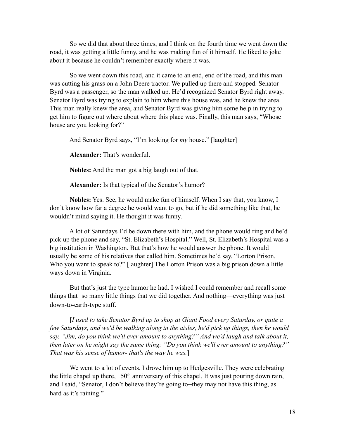So we did that about three times, and I think on the fourth time we went down the road, it was getting a little funny, and he was making fun of it himself. He liked to joke about it because he couldn't remember exactly where it was.

So we went down this road, and it came to an end, end of the road, and this man was cutting his grass on a John Deere tractor. We pulled up there and stopped. Senator Byrd was a passenger, so the man walked up. He'd recognized Senator Byrd right away. Senator Byrd was trying to explain to him where this house was, and he knew the area. This man really knew the area, and Senator Byrd was giving him some help in trying to get him to figure out where about where this place was. Finally, this man says, "Whose house are you looking for?"

And Senator Byrd says, "I'm looking for *my* house." [laughter]

**Alexander:** That's wonderful.

**Nobles:** And the man got a big laugh out of that.

**Alexander:** Is that typical of the Senator's humor?

**Nobles:** Yes. See, he would make fun of himself. When I say that, you know, I don't know how far a degree he would want to go, but if he did something like that, he wouldn't mind saying it. He thought it was funny.

 A lot of Saturdays I'd be down there with him, and the phone would ring and he'd pick up the phone and say, "St. Elizabeth's Hospital." Well, St. Elizabeth's Hospital was a big institution in Washington. But that's how he would answer the phone. It would usually be some of his relatives that called him. Sometimes he'd say, "Lorton Prison. Who you want to speak to?" [laughter] The Lorton Prison was a big prison down a little ways down in Virginia.

 But that's just the type humor he had. I wished I could remember and recall some things that—so many little things that we did together. And nothing—everything was just down-to-earth-type stuff.

 [*I used to take Senator Byrd up to shop at Giant Food every Saturday, or quite a few Saturdays, and we'd be walking along in the aisles, he'd pick up things, then he would say, "Jim, do you think we'll ever amount to anything?" And we'd laugh and talk about it, then later on he might say the same thing: "Do you think we'll ever amount to anything?" That was his sense of humor- that's the way he was.*]

We went to a lot of events. I drove him up to Hedgesville. They were celebrating the little chapel up there, 150th anniversary of this chapel. It was just pouring down rain, and I said, "Senator, I don't believe they're going to—they may not have this thing, as hard as it's raining."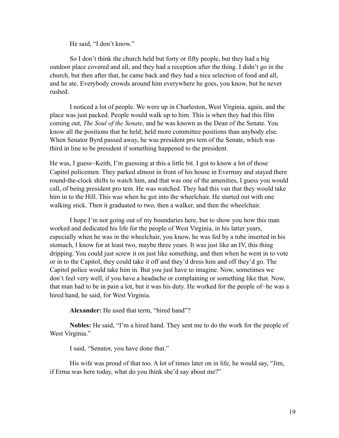He said, "I don't know."

 So I don't think the church held but forty or fifty people, but they had a big outdoor place covered and all, and they had a reception after the thing. I didn't go in the church, but then after that, he came back and they had a nice selection of food and all, and he ate. Everybody crowds around him everywhere he goes, you know, but he never rushed.

 I noticed a lot of people. We were up in Charleston, West Virginia, again, and the place was just packed. People would walk up to him. This is when they had this film coming out, *The Soul of the Senate*, and he was known as the Dean of the Senate. You know all the positions that he held; held more committee positions than anybody else. When Senator Byrd passed away, he was president pro tem of the Senate, which was third in line to be president if something happened to the president.

He was, I guess—Keith, I'm guessing at this a little bit. I got to know a lot of those Capitol policemen. They parked almost in front of his house in Evermay and stayed there round-the-clock shifts to watch him, and that was one of the amenities, I guess you would call, of being president pro tem. He was watched. They had this van that they would take him in to the Hill. This was when he got into the wheelchair. He started out with one walking stick. Then it graduated to two, then a walker, and then the wheelchair.

 I hope I'm not going out of my boundaries here, but to show you how this man worked and dedicated his life for the people of West Virginia, in his latter years, especially when he was in the wheelchair, you know, he was fed by a tube inserted in his stomach, I know for at least two, maybe three years. It was just like an IV, this thing dripping. You could just screw it on just like something, and then when he went in to vote or in to the Capitol, they could take it off and they'd dress him and off they'd go. The Capitol police would take him in. But you just have to imagine. Now, sometimes we don't feel very well, if you have a headache or complaining or something like that. Now, that man had to be in pain a lot, but it was his duty. He worked for the people of—he was a hired hand, he said, for West Virginia.

**Alexander:** He used that term, "hired hand"?

**Nobles:** He said, "I'm a hired hand. They sent me to do the work for the people of West Virginia."

I said, "Senator, you have done that."

 His wife was proud of that too. A lot of times later on in life, he would say, "Jim, if Erma was here today, what do you think she'd say about me?"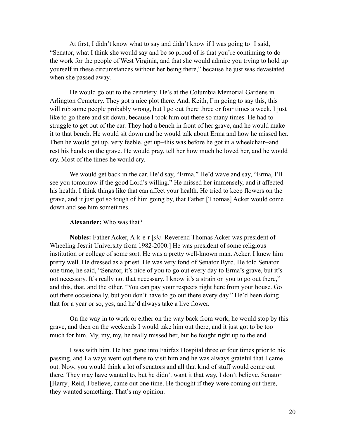At first, I didn't know what to say and didn't know if I was going to—I said, "Senator, what I think she would say and be so proud of is that you're continuing to do the work for the people of West Virginia, and that she would admire you trying to hold up yourself in these circumstances without her being there," because he just was devastated when she passed away.

 He would go out to the cemetery. He's at the Columbia Memorial Gardens in Arlington Cemetery. They got a nice plot there. And, Keith, I'm going to say this, this will rub some people probably wrong, but I go out there three or four times a week. I just like to go there and sit down, because I took him out there so many times. He had to struggle to get out of the car. They had a bench in front of her grave, and he would make it to that bench. He would sit down and he would talk about Erma and how he missed her. Then he would get up, very feeble, get up—this was before he got in a wheelchair—and rest his hands on the grave. He would pray, tell her how much he loved her, and he would cry. Most of the times he would cry.

 We would get back in the car. He'd say, "Erma." He'd wave and say, "Erma, I'll see you tomorrow if the good Lord's willing." He missed her immensely, and it affected his health. I think things like that can affect your health. He tried to keep flowers on the grave, and it just got so tough of him going by, that Father [Thomas] Acker would come down and see him sometimes.

#### **Alexander:** Who was that?

**Nobles:** Father Acker, A-k-e-r [*sic*. Reverend Thomas Acker was president of Wheeling Jesuit University from 1982-2000.] He was president of some religious institution or college of some sort. He was a pretty well-known man. Acker. I knew him pretty well. He dressed as a priest. He was very fond of Senator Byrd. He told Senator one time, he said, "Senator, it's nice of you to go out every day to Erma's grave, but it's not necessary. It's really not that necessary. I know it's a strain on you to go out there," and this, that, and the other. "You can pay your respects right here from your house. Go out there occasionally, but you don't have to go out there every day." He'd been doing that for a year or so, yes, and he'd always take a live flower.

 On the way in to work or either on the way back from work, he would stop by this grave, and then on the weekends I would take him out there, and it just got to be too much for him. My, my, my, he really missed her, but he fought right up to the end.

 I was with him. He had gone into Fairfax Hospital three or four times prior to his passing, and I always went out there to visit him and he was always grateful that I came out. Now, you would think a lot of senators and all that kind of stuff would come out there. They may have wanted to, but he didn't want it that way, I don't believe. Senator [Harry] Reid, I believe, came out one time. He thought if they were coming out there, they wanted something. That's my opinion.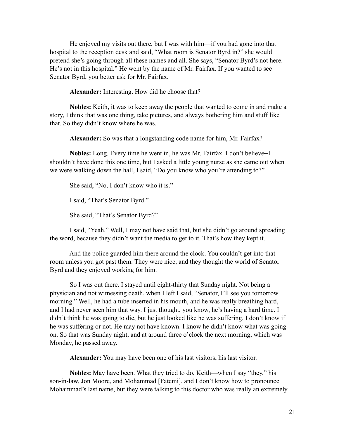He enjoyed my visits out there, but I was with him—if you had gone into that hospital to the reception desk and said, "What room is Senator Byrd in?" she would pretend she's going through all these names and all. She says, "Senator Byrd's not here. He's not in this hospital." He went by the name of Mr. Fairfax. If you wanted to see Senator Byrd, you better ask for Mr. Fairfax.

**Alexander:** Interesting. How did he choose that?

**Nobles:** Keith, it was to keep away the people that wanted to come in and make a story, I think that was one thing, take pictures, and always bothering him and stuff like that. So they didn't know where he was.

**Alexander:** So was that a longstanding code name for him, Mr. Fairfax?

**Nobles:** Long. Every time he went in, he was Mr. Fairfax. I don't believe—I shouldn't have done this one time, but I asked a little young nurse as she came out when we were walking down the hall, I said, "Do you know who you're attending to?"

She said, "No, I don't know who it is."

I said, "That's Senator Byrd."

She said, "That's Senator Byrd?"

 I said, "Yeah." Well, I may not have said that, but she didn't go around spreading the word, because they didn't want the media to get to it. That's how they kept it.

 And the police guarded him there around the clock. You couldn't get into that room unless you got past them. They were nice, and they thought the world of Senator Byrd and they enjoyed working for him.

 So I was out there. I stayed until eight-thirty that Sunday night. Not being a physician and not witnessing death, when I left I said, "Senator, I'll see you tomorrow morning." Well, he had a tube inserted in his mouth, and he was really breathing hard, and I had never seen him that way. I just thought, you know, he's having a hard time. I didn't think he was going to die, but he just looked like he was suffering. I don't know if he was suffering or not. He may not have known. I know he didn't know what was going on. So that was Sunday night, and at around three o'clock the next morning, which was Monday, he passed away.

**Alexander:** You may have been one of his last visitors, his last visitor.

**Nobles:** May have been. What they tried to do, Keith—when I say "they," his son-in-law, Jon Moore, and Mohammad [Fatemi], and I don't know how to pronounce Mohammad's last name, but they were talking to this doctor who was really an extremely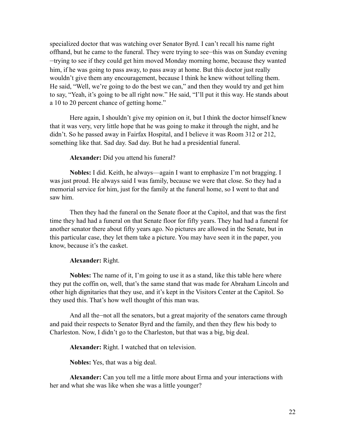specialized doctor that was watching over Senator Byrd. I can't recall his name right offhand, but he came to the funeral. They were trying to see—this was on Sunday evening —trying to see if they could get him moved Monday morning home, because they wanted him, if he was going to pass away, to pass away at home. But this doctor just really wouldn't give them any encouragement, because I think he knew without telling them. He said, "Well, we're going to do the best we can," and then they would try and get him to say, "Yeah, it's going to be all right now." He said, "I'll put it this way. He stands about a 10 to 20 percent chance of getting home."

 Here again, I shouldn't give my opinion on it, but I think the doctor himself knew that it was very, very little hope that he was going to make it through the night, and he didn't. So he passed away in Fairfax Hospital, and I believe it was Room 312 or 212, something like that. Sad day. Sad day. But he had a presidential funeral.

#### **Alexander:** Did you attend his funeral?

**Nobles:** I did. Keith, he always—again I want to emphasize I'm not bragging. I was just proud. He always said I was family, because we were that close. So they had a memorial service for him, just for the family at the funeral home, so I went to that and saw him.

Then they had the funeral on the Senate floor at the Capitol, and that was the first time they had had a funeral on that Senate floor for fifty years. They had had a funeral for another senator there about fifty years ago. No pictures are allowed in the Senate, but in this particular case, they let them take a picture. You may have seen it in the paper, you know, because it's the casket.

#### **Alexander:** Right.

**Nobles:** The name of it, I'm going to use it as a stand, like this table here where they put the coffin on, well, that's the same stand that was made for Abraham Lincoln and other high dignitaries that they use, and it's kept in the Visitors Center at the Capitol. So they used this. That's how well thought of this man was.

And all the—not all the senators, but a great majority of the senators came through and paid their respects to Senator Byrd and the family, and then they flew his body to Charleston. Now, I didn't go to the Charleston, but that was a big, big deal.

**Alexander:** Right. I watched that on television.

**Nobles:** Yes, that was a big deal.

**Alexander:** Can you tell me a little more about Erma and your interactions with her and what she was like when she was a little younger?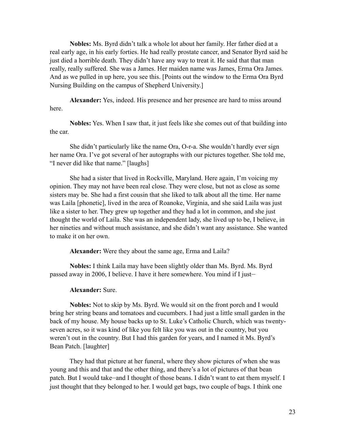**Nobles:** Ms. Byrd didn't talk a whole lot about her family. Her father died at a real early age, in his early forties. He had really prostate cancer, and Senator Byrd said he just died a horrible death. They didn't have any way to treat it. He said that that man really, really suffered. She was a James. Her maiden name was James, Erma Ora James. And as we pulled in up here, you see this. [Points out the window to the Erma Ora Byrd Nursing Building on the campus of Shepherd University.]

**Alexander:** Yes, indeed. His presence and her presence are hard to miss around here.

**Nobles:** Yes. When I saw that, it just feels like she comes out of that building into the car.

 She didn't particularly like the name Ora, O-r-a. She wouldn't hardly ever sign her name Ora. I've got several of her autographs with our pictures together. She told me, "I never did like that name." [laughs]

 She had a sister that lived in Rockville, Maryland. Here again, I'm voicing my opinion. They may not have been real close. They were close, but not as close as some sisters may be. She had a first cousin that she liked to talk about all the time. Her name was Laila [phonetic], lived in the area of Roanoke, Virginia, and she said Laila was just like a sister to her. They grew up together and they had a lot in common, and she just thought the world of Laila. She was an independent lady, she lived up to be, I believe, in her nineties and without much assistance, and she didn't want any assistance. She wanted to make it on her own.

**Alexander:** Were they about the same age, Erma and Laila?

**Nobles:** I think Laila may have been slightly older than Ms. Byrd. Ms. Byrd passed away in 2006, I believe. I have it here somewhere. You mind if I just—

#### **Alexander:** Sure.

**Nobles:** Not to skip by Ms. Byrd. We would sit on the front porch and I would bring her string beans and tomatoes and cucumbers. I had just a little small garden in the back of my house. My house backs up to St. Luke's Catholic Church, which was twentyseven acres, so it was kind of like you felt like you was out in the country, but you weren't out in the country. But I had this garden for years, and I named it Ms. Byrd's Bean Patch. [laughter]

 They had that picture at her funeral, where they show pictures of when she was young and this and that and the other thing, and there's a lot of pictures of that bean patch. But I would take—and I thought of those beans. I didn't want to eat them myself. I just thought that they belonged to her. I would get bags, two couple of bags. I think one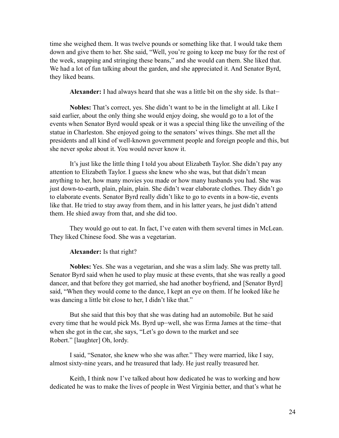time she weighed them. It was twelve pounds or something like that. I would take them down and give them to her. She said, "Well, you're going to keep me busy for the rest of the week, snapping and stringing these beans," and she would can them. She liked that. We had a lot of fun talking about the garden, and she appreciated it. And Senator Byrd, they liked beans.

**Alexander:** I had always heard that she was a little bit on the shy side. Is that—

**Nobles:** That's correct, yes. She didn't want to be in the limelight at all. Like I said earlier, about the only thing she would enjoy doing, she would go to a lot of the events when Senator Byrd would speak or it was a special thing like the unveiling of the statue in Charleston. She enjoyed going to the senators' wives things. She met all the presidents and all kind of well-known government people and foreign people and this, but she never spoke about it. You would never know it.

 It's just like the little thing I told you about Elizabeth Taylor. She didn't pay any attention to Elizabeth Taylor. I guess she knew who she was, but that didn't mean anything to her, how many movies you made or how many husbands you had. She was just down-to-earth, plain, plain, plain. She didn't wear elaborate clothes. They didn't go to elaborate events. Senator Byrd really didn't like to go to events in a bow-tie, events like that. He tried to stay away from them, and in his latter years, he just didn't attend them. He shied away from that, and she did too.

 They would go out to eat. In fact, I've eaten with them several times in McLean. They liked Chinese food. She was a vegetarian.

#### **Alexander:** Is that right?

**Nobles:** Yes. She was a vegetarian, and she was a slim lady. She was pretty tall. Senator Byrd said when he used to play music at these events, that she was really a good dancer, and that before they got married, she had another boyfriend, and [Senator Byrd] said, "When they would come to the dance, I kept an eye on them. If he looked like he was dancing a little bit close to her, I didn't like that."

 But she said that this boy that she was dating had an automobile. But he said every time that he would pick Ms. Byrd up—well, she was Erma James at the time—that when she got in the car, she says, "Let's go down to the market and see Robert." [laughter] Oh, lordy.

 I said, "Senator, she knew who she was after." They were married, like I say, almost sixty-nine years, and he treasured that lady. He just really treasured her.

 Keith, I think now I've talked about how dedicated he was to working and how dedicated he was to make the lives of people in West Virginia better, and that's what he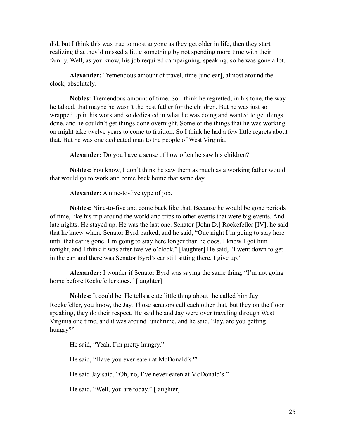did, but I think this was true to most anyone as they get older in life, then they start realizing that they'd missed a little something by not spending more time with their family. Well, as you know, his job required campaigning, speaking, so he was gone a lot.

**Alexander:** Tremendous amount of travel, time [unclear], almost around the clock, absolutely.

**Nobles:** Tremendous amount of time. So I think he regretted, in his tone, the way he talked, that maybe he wasn't the best father for the children. But he was just so wrapped up in his work and so dedicated in what he was doing and wanted to get things done, and he couldn't get things done overnight. Some of the things that he was working on might take twelve years to come to fruition. So I think he had a few little regrets about that. But he was one dedicated man to the people of West Virginia.

**Alexander:** Do you have a sense of how often he saw his children?

**Nobles:** You know, I don't think he saw them as much as a working father would that would go to work and come back home that same day.

**Alexander:** A nine-to-five type of job.

**Nobles:** Nine-to-five and come back like that. Because he would be gone periods of time, like his trip around the world and trips to other events that were big events. And late nights. He stayed up. He was the last one. Senator [John D.] Rockefeller [IV], he said that he knew where Senator Byrd parked, and he said, "One night I'm going to stay here until that car is gone. I'm going to stay here longer than he does. I know I got him tonight, and I think it was after twelve o'clock." [laughter] He said, "I went down to get in the car, and there was Senator Byrd's car still sitting there. I give up."

**Alexander:** I wonder if Senator Byrd was saying the same thing, "I'm not going home before Rockefeller does." [laughter]

**Nobles:** It could be. He tells a cute little thing about—he called him Jay Rockefeller, you know, the Jay. Those senators call each other that, but they on the floor speaking, they do their respect. He said he and Jay were over traveling through West Virginia one time, and it was around lunchtime, and he said, "Jay, are you getting hungry?"

He said, "Yeah, I'm pretty hungry."

He said, "Have you ever eaten at McDonald's?"

He said Jay said, "Oh, no, I've never eaten at McDonald's."

He said, "Well, you are today." [laughter]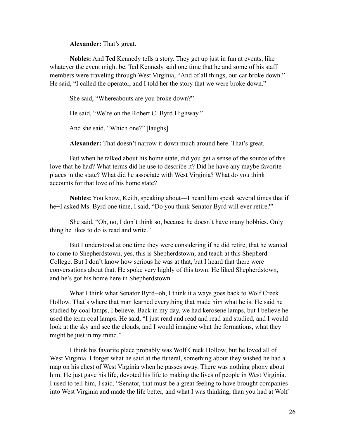**Alexander:** That's great.

**Nobles:** And Ted Kennedy tells a story. They get up just in fun at events, like whatever the event might be. Ted Kennedy said one time that he and some of his staff members were traveling through West Virginia, "And of all things, our car broke down." He said, "I called the operator, and I told her the story that we were broke down."

She said, "Whereabouts are you broke down?"

He said, "We're on the Robert C. Byrd Highway."

And she said, "Which one?" [laughs]

**Alexander:** That doesn't narrow it down much around here. That's great.

 But when he talked about his home state, did you get a sense of the source of this love that he had? What terms did he use to describe it? Did he have any maybe favorite places in the state? What did he associate with West Virginia? What do you think accounts for that love of his home state?

**Nobles:** You know, Keith, speaking about—I heard him speak several times that if he—I asked Ms. Byrd one time, I said, "Do you think Senator Byrd will ever retire?"

 She said, "Oh, no, I don't think so, because he doesn't have many hobbies. Only thing he likes to do is read and write."

 But I understood at one time they were considering if he did retire, that he wanted to come to Shepherdstown, yes, this is Shepherdstown, and teach at this Shepherd College. But I don't know how serious he was at that, but I heard that there were conversations about that. He spoke very highly of this town. He liked Shepherdstown, and he's got his home here in Shepherdstown.

 What I think what Senator Byrd—oh, I think it always goes back to Wolf Creek Hollow. That's where that man learned everything that made him what he is. He said he studied by coal lamps, I believe. Back in my day, we had kerosene lamps, but I believe he used the term coal lamps. He said, "I just read and read and read and studied, and I would look at the sky and see the clouds, and I would imagine what the formations, what they might be just in my mind."

I think his favorite place probably was Wolf Creek Hollow, but he loved all of West Virginia. I forget what he said at the funeral, something about they wished he had a map on his chest of West Virginia when he passes away. There was nothing phony about him. He just gave his life, devoted his life to making the lives of people in West Virginia. I used to tell him, I said, "Senator, that must be a great feeling to have brought companies into West Virginia and made the life better, and what I was thinking, than you had at Wolf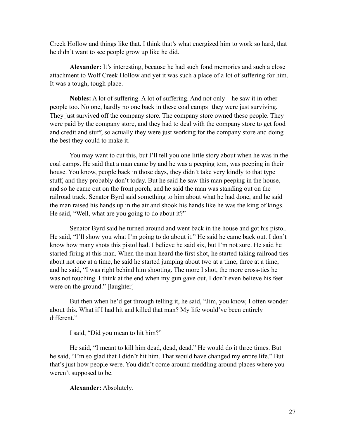Creek Hollow and things like that. I think that's what energized him to work so hard, that he didn't want to see people grow up like he did.

**Alexander:** It's interesting, because he had such fond memories and such a close attachment to Wolf Creek Hollow and yet it was such a place of a lot of suffering for him. It was a tough, tough place.

**Nobles:** A lot of suffering. A lot of suffering. And not only—he saw it in other people too. No one, hardly no one back in these coal camps—they were just surviving. They just survived off the company store. The company store owned these people. They were paid by the company store, and they had to deal with the company store to get food and credit and stuff, so actually they were just working for the company store and doing the best they could to make it.

 You may want to cut this, but I'll tell you one little story about when he was in the coal camps. He said that a man came by and he was a peeping tom, was peeping in their house. You know, people back in those days, they didn't take very kindly to that type stuff, and they probably don't today. But he said he saw this man peeping in the house, and so he came out on the front porch, and he said the man was standing out on the railroad track. Senator Byrd said something to him about what he had done, and he said the man raised his hands up in the air and shook his hands like he was the king of kings. He said, "Well, what are you going to do about it?"

 Senator Byrd said he turned around and went back in the house and got his pistol. He said, "I'll show you what I'm going to do about it." He said he came back out. I don't know how many shots this pistol had. I believe he said six, but I'm not sure. He said he started firing at this man. When the man heard the first shot, he started taking railroad ties about not one at a time, he said he started jumping about two at a time, three at a time, and he said, "I was right behind him shooting. The more I shot, the more cross-ties he was not touching. I think at the end when my gun gave out, I don't even believe his feet were on the ground." [laughter]

But then when he'd get through telling it, he said, "Jim, you know, I often wonder about this. What if I had hit and killed that man? My life would've been entirely different."

I said, "Did you mean to hit him?"

 He said, "I meant to kill him dead, dead, dead." He would do it three times. But he said, "I'm so glad that I didn't hit him. That would have changed my entire life." But that's just how people were. You didn't come around meddling around places where you weren't supposed to be.

**Alexander:** Absolutely.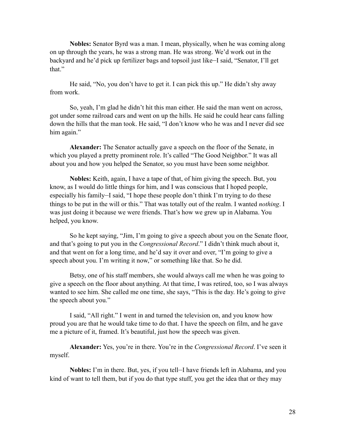**Nobles:** Senator Byrd was a man. I mean, physically, when he was coming along on up through the years, he was a strong man. He was strong. We'd work out in the backyard and he'd pick up fertilizer bags and topsoil just like—I said, "Senator, I'll get that."

 He said, "No, you don't have to get it. I can pick this up." He didn't shy away from work.

 So, yeah, I'm glad he didn't hit this man either. He said the man went on across, got under some railroad cars and went on up the hills. He said he could hear cans falling down the hills that the man took. He said, "I don't know who he was and I never did see him again."

**Alexander:** The Senator actually gave a speech on the floor of the Senate, in which you played a pretty prominent role. It's called "The Good Neighbor." It was all about you and how you helped the Senator, so you must have been some neighbor.

**Nobles:** Keith, again, I have a tape of that, of him giving the speech. But, you know, as I would do little things for him, and I was conscious that I hoped people, especially his family—I said, "I hope these people don't think I'm trying to do these things to be put in the will or this." That was totally out of the realm. I wanted *nothing*. I was just doing it because we were friends. That's how we grew up in Alabama. You helped, you know.

 So he kept saying, "Jim, I'm going to give a speech about you on the Senate floor, and that's going to put you in the *Congressional Record*." I didn't think much about it, and that went on for a long time, and he'd say it over and over, "I'm going to give a speech about you. I'm writing it now," or something like that. So he did.

 Betsy, one of his staff members, she would always call me when he was going to give a speech on the floor about anything. At that time, I was retired, too, so I was always wanted to see him. She called me one time, she says, "This is the day. He's going to give the speech about you."

 I said, "All right." I went in and turned the television on, and you know how proud you are that he would take time to do that. I have the speech on film, and he gave me a picture of it, framed. It's beautiful, just how the speech was given.

**Alexander:** Yes, you're in there. You're in the *Congressional Record*. I've seen it myself.

**Nobles:** I'm in there. But, yes, if you tell—I have friends left in Alabama, and you kind of want to tell them, but if you do that type stuff, you get the idea that or they may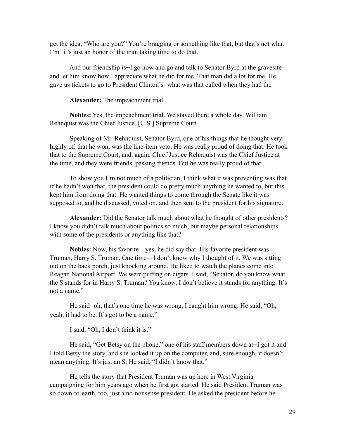get the idea, "Who are you?" You're bragging or something like that, but that's not what I'm—it's just an honor of the man taking time to do that.

 And our friendship is—I go now and go and talk to Senator Byrd at the gravesite and let him know how I appreciate what he did for me. That man did a lot for me. He gave us tickets to go to President Clinton's—what was that called when they had the—

**Alexander:** The impeachment trial.

**Nobles:** Yes, the impeachment trial. We stayed there a whole day. William Rehnquist was the Chief Justice, [U.S.] Supreme Court.

Speaking of Mr. Rehnquist, Senator Byrd, one of his things that he thought very highly of, that he won, was the line-item veto. He was really proud of doing that. He took that to the Supreme Court, and, again, Chief Justice Rehnquist was the Chief Justice at the time, and they were friends, passing friends. But he was really proud of that.

 To show you I'm not much of a politician, I think what it was preventing was that if he hadn't won that, the president could do pretty much anything he wanted to, but this kept him from doing that. He wanted things to come through the Senate like it was supposed to, and be discussed, voted on, and then sent to the president for his signature.

**Alexander:** Did the Senator talk much about what he thought of other presidents? I know you didn't talk much about politics so much, but maybe personal relationships with some of the presidents or anything like that?

**Nobles:** Now, his favorite—yes, he did say that. His favorite president was Truman, Harry S. Truman. One time—I don't know why I thought of it. We was sitting out on the back porch, just knocking around. He liked to watch the planes come into Reagan National Airport. We were puffing on cigars. I said, "Senator, do you know what the S stands for in Harry S. Truman? You know, I don't believe it stands for anything. It's not a name."

 He said—oh, that's one time he was wrong, I caught him wrong. He said, "Oh, yeah, it had to be. It's got to be a name."

I said, "Oh, I don't think it is."

 He said, "Get Betsy on the phone," one of his staff members down at—I got it and I told Betsy the story, and she looked it up on the computer, and, sure enough, it doesn't mean anything. It's just an S. He said, "I didn't know that."

 He tells the story that President Truman was up here in West Virginia campaigning for him years ago when he first got started. He said President Truman was so down-to-earth, too, just a no-nonsense president. He asked the president before he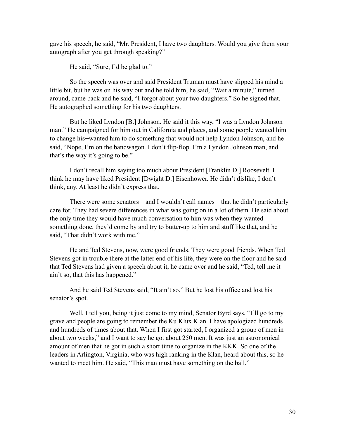gave his speech, he said, "Mr. President, I have two daughters. Would you give them your autograph after you get through speaking?"

He said, "Sure, I'd be glad to."

 So the speech was over and said President Truman must have slipped his mind a little bit, but he was on his way out and he told him, he said, "Wait a minute," turned around, came back and he said, "I forgot about your two daughters." So he signed that. He autographed something for his two daughters.

 But he liked Lyndon [B.] Johnson. He said it this way, "I was a Lyndon Johnson man." He campaigned for him out in California and places, and some people wanted him to change his—wanted him to do something that would not help Lyndon Johnson, and he said, "Nope, I'm on the bandwagon. I don't flip-flop. I'm a Lyndon Johnson man, and that's the way it's going to be."

 I don't recall him saying too much about President [Franklin D.] Roosevelt. I think he may have liked President [Dwight D.] Eisenhower. He didn't dislike, I don't think, any. At least he didn't express that.

There were some senators—and I wouldn't call names—that he didn't particularly care for. They had severe differences in what was going on in a lot of them. He said about the only time they would have much conversation to him was when they wanted something done, they'd come by and try to butter-up to him and stuff like that, and he said, "That didn't work with me."

 He and Ted Stevens, now, were good friends. They were good friends. When Ted Stevens got in trouble there at the latter end of his life, they were on the floor and he said that Ted Stevens had given a speech about it, he came over and he said, "Ted, tell me it ain't so, that this has happened."

 And he said Ted Stevens said, "It ain't so." But he lost his office and lost his senator's spot.

Well, I tell you, being it just come to my mind, Senator Byrd says, "I'll go to my grave and people are going to remember the Ku Klux Klan. I have apologized hundreds and hundreds of times about that. When I first got started, I organized a group of men in about two weeks," and I want to say he got about 250 men. It was just an astronomical amount of men that he got in such a short time to organize in the KKK. So one of the leaders in Arlington, Virginia, who was high ranking in the Klan, heard about this, so he wanted to meet him. He said, "This man must have something on the ball."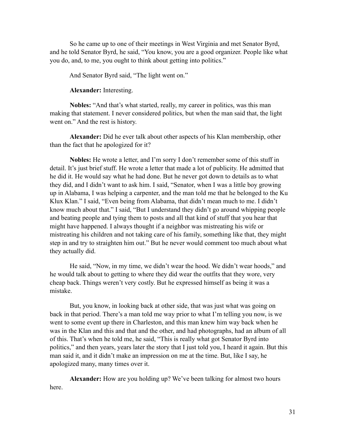So he came up to one of their meetings in West Virginia and met Senator Byrd, and he told Senator Byrd, he said, "You know, you are a good organizer. People like what you do, and, to me, you ought to think about getting into politics."

And Senator Byrd said, "The light went on."

**Alexander:** Interesting.

**Nobles:** "And that's what started, really, my career in politics, was this man making that statement. I never considered politics, but when the man said that, the light went on." And the rest is history.

**Alexander:** Did he ever talk about other aspects of his Klan membership, other than the fact that he apologized for it?

**Nobles:** He wrote a letter, and I'm sorry I don't remember some of this stuff in detail. It's just brief stuff. He wrote a letter that made a lot of publicity. He admitted that he did it. He would say what he had done. But he never got down to details as to what they did, and I didn't want to ask him. I said, "Senator, when I was a little boy growing up in Alabama, I was helping a carpenter, and the man told me that he belonged to the Ku Klux Klan." I said, "Even being from Alabama, that didn't mean much to me. I didn't know much about that." I said, "But I understand they didn't go around whipping people and beating people and tying them to posts and all that kind of stuff that you hear that might have happened. I always thought if a neighbor was mistreating his wife or mistreating his children and not taking care of his family, something like that, they might step in and try to straighten him out." But he never would comment too much about what they actually did.

 He said, "Now, in my time, we didn't wear the hood. We didn't wear hoods," and he would talk about to getting to where they did wear the outfits that they wore, very cheap back. Things weren't very costly. But he expressed himself as being it was a mistake.

 But, you know, in looking back at other side, that was just what was going on back in that period. There's a man told me way prior to what I'm telling you now, is we went to some event up there in Charleston, and this man knew him way back when he was in the Klan and this and that and the other, and had photographs, had an album of all of this. That's when he told me, he said, "This is really what got Senator Byrd into politics," and then years, years later the story that I just told you, I heard it again. But this man said it, and it didn't make an impression on me at the time. But, like I say, he apologized many, many times over it.

**Alexander:** How are you holding up? We've been talking for almost two hours here.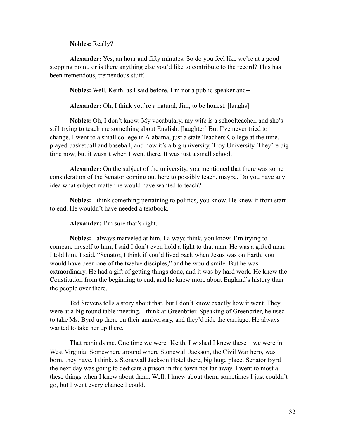**Nobles:** Really?

**Alexander:** Yes, an hour and fifty minutes. So do you feel like we're at a good stopping point, or is there anything else you'd like to contribute to the record? This has been tremendous, tremendous stuff.

**Nobles:** Well, Keith, as I said before, I'm not a public speaker and—

**Alexander:** Oh, I think you're a natural, Jim, to be honest. [laughs]

**Nobles:** Oh, I don't know. My vocabulary, my wife is a schoolteacher, and she's still trying to teach me something about English. [laughter] But I've never tried to change. I went to a small college in Alabama, just a state Teachers College at the time, played basketball and baseball, and now it's a big university, Troy University. They're big time now, but it wasn't when I went there. It was just a small school.

**Alexander:** On the subject of the university, you mentioned that there was some consideration of the Senator coming out here to possibly teach, maybe. Do you have any idea what subject matter he would have wanted to teach?

**Nobles:** I think something pertaining to politics, you know. He knew it from start to end. He wouldn't have needed a textbook.

**Alexander:** I'm sure that's right.

**Nobles:** I always marveled at him. I always think, you know, I'm trying to compare myself to him, I said I don't even hold a light to that man. He was a gifted man. I told him, I said, "Senator, I think if you'd lived back when Jesus was on Earth, you would have been one of the twelve disciples," and he would smile. But he was extraordinary. He had a gift of getting things done, and it was by hard work. He knew the Constitution from the beginning to end, and he knew more about England's history than the people over there.

 Ted Stevens tells a story about that, but I don't know exactly how it went. They were at a big round table meeting, I think at Greenbrier. Speaking of Greenbrier, he used to take Ms. Byrd up there on their anniversary, and they'd ride the carriage. He always wanted to take her up there.

 That reminds me. One time we were—Keith, I wished I knew these—we were in West Virginia. Somewhere around where Stonewall Jackson, the Civil War hero, was born, they have, I think, a Stonewall Jackson Hotel there, big huge place. Senator Byrd the next day was going to dedicate a prison in this town not far away. I went to most all these things when I knew about them. Well, I knew about them, sometimes I just couldn't go, but I went every chance I could.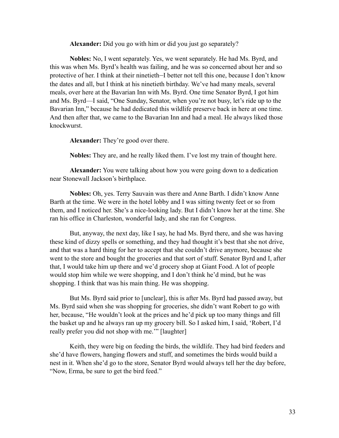**Alexander:** Did you go with him or did you just go separately?

**Nobles:** No, I went separately. Yes, we went separately. He had Ms. Byrd, and this was when Ms. Byrd's health was failing, and he was so concerned about her and so protective of her. I think at their ninetieth—I better not tell this one, because I don't know the dates and all, but I think at his ninetieth birthday. We've had many meals, several meals, over here at the Bavarian Inn with Ms. Byrd. One time Senator Byrd, I got him and Ms. Byrd—I said, "One Sunday, Senator, when you're not busy, let's ride up to the Bavarian Inn," because he had dedicated this wildlife preserve back in here at one time. And then after that, we came to the Bavarian Inn and had a meal. He always liked those knockwurst.

**Alexander:** They're good over there.

**Nobles:** They are, and he really liked them. I've lost my train of thought here.

**Alexander:** You were talking about how you were going down to a dedication near Stonewall Jackson's birthplace.

**Nobles:** Oh, yes. Terry Sauvain was there and Anne Barth. I didn't know Anne Barth at the time. We were in the hotel lobby and I was sitting twenty feet or so from them, and I noticed her. She's a nice-looking lady. But I didn't know her at the time. She ran his office in Charleston, wonderful lady, and she ran for Congress.

 But, anyway, the next day, like I say, he had Ms. Byrd there, and she was having these kind of dizzy spells or something, and they had thought it's best that she not drive, and that was a hard thing for her to accept that she couldn't drive anymore, because she went to the store and bought the groceries and that sort of stuff. Senator Byrd and I, after that, I would take him up there and we'd grocery shop at Giant Food. A lot of people would stop him while we were shopping, and I don't think he'd mind, but he was shopping. I think that was his main thing. He was shopping.

 But Ms. Byrd said prior to [unclear], this is after Ms. Byrd had passed away, but Ms. Byrd said when she was shopping for groceries, she didn't want Robert to go with her, because, "He wouldn't look at the prices and he'd pick up too many things and fill the basket up and he always ran up my grocery bill. So I asked him, I said, 'Robert, I'd really prefer you did not shop with me.'" [laughter]

 Keith, they were big on feeding the birds, the wildlife. They had bird feeders and she'd have flowers, hanging flowers and stuff, and sometimes the birds would build a nest in it. When she'd go to the store, Senator Byrd would always tell her the day before, "Now, Erma, be sure to get the bird feed."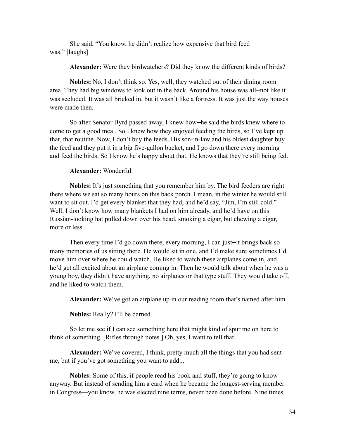She said, "You know, he didn't realize how expensive that bird feed was." [laughs]

**Alexander:** Were they birdwatchers? Did they know the different kinds of birds?

**Nobles:** No, I don't think so. Yes, well, they watched out of their dining room area. They had big windows to look out in the back. Around his house was all—not like it was secluded. It was all bricked in, but it wasn't like a fortress. It was just the way houses were made then.

 So after Senator Byrd passed away, I knew how—he said the birds knew where to come to get a good meal. So I knew how they enjoyed feeding the birds, so I've kept up that, that routine. Now, I don't buy the feeds. His son-in-law and his oldest daughter buy the feed and they put it in a big five-gallon bucket, and I go down there every morning and feed the birds. So I know he's happy about that. He knows that they're still being fed.

#### **Alexander:** Wonderful.

**Nobles:** It's just something that you remember him by. The bird feeders are right there where we sat so many hours on this back porch. I mean, in the winter he would still want to sit out. I'd get every blanket that they had, and he'd say, "Jim, I'm still cold." Well, I don't know how many blankets I had on him already, and he'd have on this Russian-looking hat pulled down over his head, smoking a cigar, but chewing a cigar, more or less.

 Then every time I'd go down there, every morning, I can just—it brings back so many memories of us sitting there. He would sit in one, and I'd make sure sometimes I'd move him over where he could watch. He liked to watch these airplanes come in, and he'd get all excited about an airplane coming in. Then he would talk about when he was a young boy, they didn't have anything, no airplanes or that type stuff. They would take off, and he liked to watch them.

**Alexander:** We've got an airplane up in our reading room that's named after him.

**Nobles:** Really? I'll be darned.

 So let me see if I can see something here that might kind of spur me on here to think of something. [Rifles through notes.] Oh, yes, I want to tell that.

**Alexander:** We've covered, I think, pretty much all the things that you had sent me, but if you've got something you want to add...

**Nobles:** Some of this, if people read his book and stuff, they're going to know anyway. But instead of sending him a card when he became the longest-serving member in Congress—you know, he was elected nine terms, never been done before. Nine times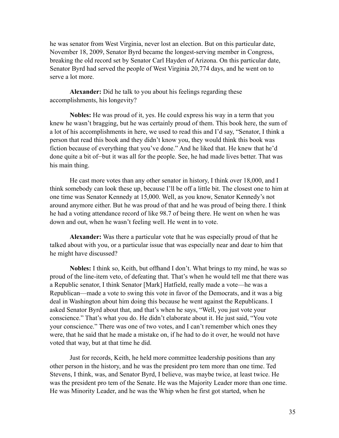he was senator from West Virginia, never lost an election. But on this particular date, November 18, 2009, Senator Byrd became the longest-serving member in Congress, breaking the old record set by Senator Carl Hayden of Arizona. On this particular date, Senator Byrd had served the people of West Virginia 20,774 days, and he went on to serve a lot more.

**Alexander:** Did he talk to you about his feelings regarding these accomplishments, his longevity?

**Nobles:** He was proud of it, yes. He could express his way in a term that you knew he wasn't bragging, but he was certainly proud of them. This book here, the sum of a lot of his accomplishments in here, we used to read this and I'd say, "Senator, I think a person that read this book and they didn't know you, they would think this book was fiction because of everything that you've done." And he liked that. He knew that he'd done quite a bit of—but it was all for the people. See, he had made lives better. That was his main thing.

 He cast more votes than any other senator in history, I think over 18,000, and I think somebody can look these up, because I'll be off a little bit. The closest one to him at one time was Senator Kennedy at 15,000. Well, as you know, Senator Kennedy's not around anymore either. But he was proud of that and he was proud of being there. I think he had a voting attendance record of like 98.7 of being there. He went on when he was down and out, when he wasn't feeling well. He went in to vote.

**Alexander:** Was there a particular vote that he was especially proud of that he talked about with you, or a particular issue that was especially near and dear to him that he might have discussed?

**Nobles:** I think so, Keith, but offhand I don't. What brings to my mind, he was so proud of the line-item veto, of defeating that. That's when he would tell me that there was a Republic senator, I think Senator [Mark] Hatfield, really made a vote—he was a Republican—made a vote to swing this vote in favor of the Democrats, and it was a big deal in Washington about him doing this because he went against the Republicans. I asked Senator Byrd about that, and that's when he says, "Well, you just vote your conscience." That's what you do. He didn't elaborate about it. He just said, "You vote your conscience." There was one of two votes, and I can't remember which ones they were, that he said that he made a mistake on, if he had to do it over, he would not have voted that way, but at that time he did.

 Just for records, Keith, he held more committee leadership positions than any other person in the history, and he was the president pro tem more than one time. Ted Stevens, I think, was, and Senator Byrd, I believe, was maybe twice, at least twice. He was the president pro tem of the Senate. He was the Majority Leader more than one time. He was Minority Leader, and he was the Whip when he first got started, when he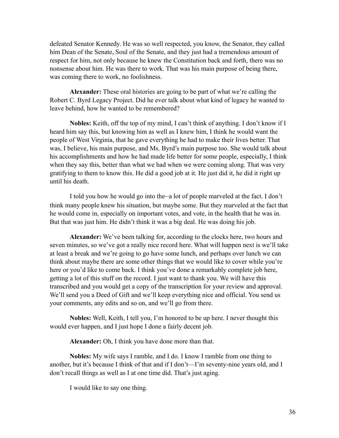defeated Senator Kennedy. He was so well respected, you know, the Senator, they called him Dean of the Senate, Soul of the Senate, and they just had a tremendous amount of respect for him, not only because he knew the Constitution back and forth, there was no nonsense about him. He was there to work. That was his main purpose of being there, was coming there to work, no foolishness.

**Alexander:** These oral histories are going to be part of what we're calling the Robert C. Byrd Legacy Project. Did he ever talk about what kind of legacy he wanted to leave behind, how he wanted to be remembered?

**Nobles:** Keith, off the top of my mind, I can't think of anything. I don't know if I heard him say this, but knowing him as well as I knew him, I think he would want the people of West Virginia, that he gave everything he had to make their lives better. That was, I believe, his main purpose, and Ms. Byrd's main purpose too. She would talk about his accomplishments and how he had made life better for some people, especially, I think when they say this, better than what we had when we were coming along. That was very gratifying to them to know this. He did a good job at it. He just did it, he did it right up until his death.

 I told you how he would go into the—a lot of people marveled at the fact. I don't think many people knew his situation, but maybe some. But they marveled at the fact that he would come in, especially on important votes, and vote, in the health that he was in. But that was just him. He didn't think it was a big deal. He was doing his job.

**Alexander:** We've been talking for, according to the clocks here, two hours and seven minutes, so we've got a really nice record here. What will happen next is we'll take at least a break and we're going to go have some lunch, and perhaps over lunch we can think about maybe there are some other things that we would like to cover while you're here or you'd like to come back. I think you've done a remarkably complete job here, getting a lot of this stuff on the record. I just want to thank you. We will have this transcribed and you would get a copy of the transcription for your review and approval. We'll send you a Deed of Gift and we'll keep everything nice and official. You send us your comments, any edits and so on, and we'll go from there.

**Nobles:** Well, Keith, I tell you, I'm honored to be up here. I never thought this would ever happen, and I just hope I done a fairly decent job.

**Alexander:** Oh, I think you have done more than that.

**Nobles:** My wife says I ramble, and I do. I know I ramble from one thing to another, but it's because I think of that and if I don't—I'm seventy-nine years old, and I don't recall things as well as I at one time did. That's just aging.

I would like to say one thing.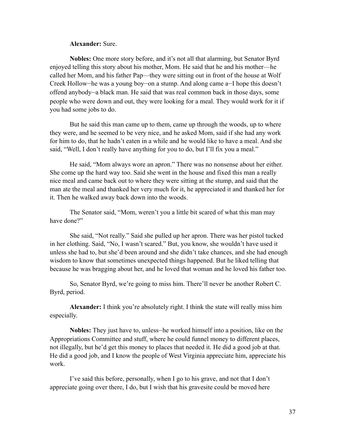#### **Alexander:** Sure.

**Nobles:** One more story before, and it's not all that alarming, but Senator Byrd enjoyed telling this story about his mother, Mom. He said that he and his mother—he called her Mom, and his father Pap—they were sitting out in front of the house at Wolf Creek Hollow—he was a young boy—on a stump. And along came a—I hope this doesn't offend anybody—a black man. He said that was real common back in those days, some people who were down and out, they were looking for a meal. They would work for it if you had some jobs to do.

But he said this man came up to them, came up through the woods, up to where they were, and he seemed to be very nice, and he asked Mom, said if she had any work for him to do, that he hadn't eaten in a while and he would like to have a meal. And she said, "Well, I don't really have anything for you to do, but I'll fix you a meal."

 He said, "Mom always wore an apron." There was no nonsense about her either. She come up the hard way too. Said she went in the house and fixed this man a really nice meal and came back out to where they were sitting at the stump, and said that the man ate the meal and thanked her very much for it, he appreciated it and thanked her for it. Then he walked away back down into the woods.

The Senator said, "Mom, weren't you a little bit scared of what this man may have done?"

 She said, "Not really." Said she pulled up her apron. There was her pistol tucked in her clothing. Said, "No, I wasn't scared." But, you know, she wouldn't have used it unless she had to, but she'd been around and she didn't take chances, and she had enough wisdom to know that sometimes unexpected things happened. But he liked telling that because he was bragging about her, and he loved that woman and he loved his father too.

 So, Senator Byrd, we're going to miss him. There'll never be another Robert C. Byrd, period.

**Alexander:** I think you're absolutely right. I think the state will really miss him especially.

**Nobles:** They just have to, unless—he worked himself into a position, like on the Appropriations Committee and stuff, where he could funnel money to different places, not illegally, but he'd get this money to places that needed it. He did a good job at that. He did a good job, and I know the people of West Virginia appreciate him, appreciate his work.

 I've said this before, personally, when I go to his grave, and not that I don't appreciate going over there, I do, but I wish that his gravesite could be moved here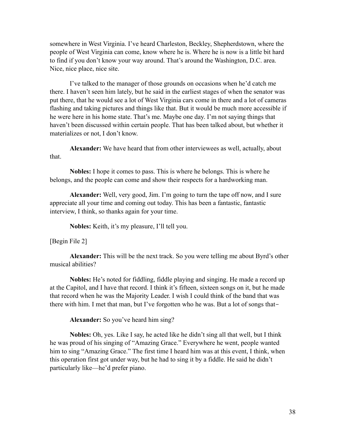somewhere in West Virginia. I've heard Charleston, Beckley, Shepherdstown, where the people of West Virginia can come, know where he is. Where he is now is a little bit hard to find if you don't know your way around. That's around the Washington, D.C. area. Nice, nice place, nice site.

 I've talked to the manager of those grounds on occasions when he'd catch me there. I haven't seen him lately, but he said in the earliest stages of when the senator was put there, that he would see a lot of West Virginia cars come in there and a lot of cameras flashing and taking pictures and things like that. But it would be much more accessible if he were here in his home state. That's me. Maybe one day. I'm not saying things that haven't been discussed within certain people. That has been talked about, but whether it materializes or not, I don't know.

**Alexander:** We have heard that from other interviewees as well, actually, about that.

**Nobles:** I hope it comes to pass. This is where he belongs. This is where he belongs, and the people can come and show their respects for a hardworking man.

**Alexander:** Well, very good, Jim. I'm going to turn the tape off now, and I sure appreciate all your time and coming out today. This has been a fantastic, fantastic interview, I think, so thanks again for your time.

**Nobles:** Keith, it's my pleasure, I'll tell you.

[Begin File 2]

**Alexander:** This will be the next track. So you were telling me about Byrd's other musical abilities?

**Nobles:** He's noted for fiddling, fiddle playing and singing. He made a record up at the Capitol, and I have that record. I think it's fifteen, sixteen songs on it, but he made that record when he was the Majority Leader. I wish I could think of the band that was there with him. I met that man, but I've forgotten who he was. But a lot of songs that-

**Alexander:** So you've heard him sing?

**Nobles:** Oh, yes. Like I say, he acted like he didn't sing all that well, but I think he was proud of his singing of "Amazing Grace." Everywhere he went, people wanted him to sing "Amazing Grace." The first time I heard him was at this event, I think, when this operation first got under way, but he had to sing it by a fiddle. He said he didn't particularly like—he'd prefer piano.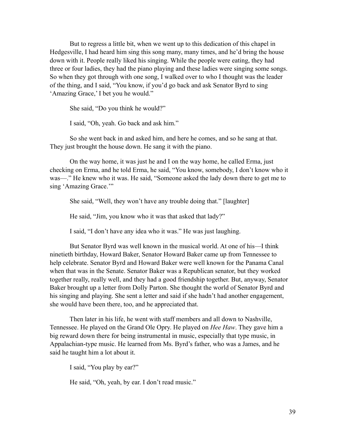But to regress a little bit, when we went up to this dedication of this chapel in Hedgesville, I had heard him sing this song many, many times, and he'd bring the house down with it. People really liked his singing. While the people were eating, they had three or four ladies, they had the piano playing and these ladies were singing some songs. So when they got through with one song, I walked over to who I thought was the leader of the thing, and I said, "You know, if you'd go back and ask Senator Byrd to sing 'Amazing Grace,' I bet you he would."

She said, "Do you think he would?"

I said, "Oh, yeah. Go back and ask him."

 So she went back in and asked him, and here he comes, and so he sang at that. They just brought the house down. He sang it with the piano.

 On the way home, it was just he and I on the way home, he called Erma, just checking on Erma, and he told Erma, he said, "You know, somebody, I don't know who it was—." He knew who it was. He said, "Someone asked the lady down there to get me to sing 'Amazing Grace.'"

She said, "Well, they won't have any trouble doing that." [laughter]

He said, "Jim, you know who it was that asked that lady?"

I said, "I don't have any idea who it was." He was just laughing.

 But Senator Byrd was well known in the musical world. At one of his—I think ninetieth birthday, Howard Baker, Senator Howard Baker came up from Tennessee to help celebrate. Senator Byrd and Howard Baker were well known for the Panama Canal when that was in the Senate. Senator Baker was a Republican senator, but they worked together really, really well, and they had a good friendship together. But, anyway, Senator Baker brought up a letter from Dolly Parton. She thought the world of Senator Byrd and his singing and playing. She sent a letter and said if she hadn't had another engagement, she would have been there, too, and he appreciated that.

 Then later in his life, he went with staff members and all down to Nashville, Tennessee. He played on the Grand Ole Opry. He played on *Hee Haw*. They gave him a big reward down there for being instrumental in music, especially that type music, in Appalachian-type music. He learned from Ms. Byrd's father, who was a James, and he said he taught him a lot about it.

I said, "You play by ear?"

He said, "Oh, yeah, by ear. I don't read music."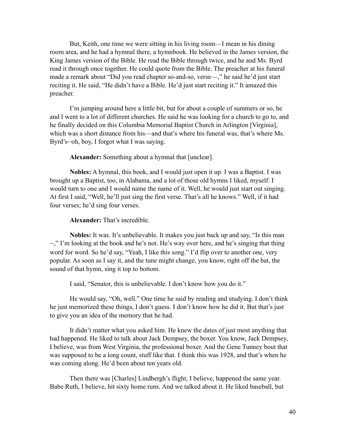But, Keith, one time we were sitting in his living room—I mean in his dining room area, and he had a hymnal there, a hymnbook. He believed in the James version, the King James version of the Bible. He read the Bible through twice, and he and Ms. Byrd read it through once together. He could quote from the Bible. The preacher at his funeral made a remark about "Did you read chapter so-and-so, verse—," he said he'd just start reciting it. He said, "He didn't have a Bible. He'd just start reciting it." It amazed this preacher.

 I'm jumping around here a little bit, but for about a couple of summers or so, he and I went to a lot of different churches. He said he was looking for a church to go to, and he finally decided on this Columbia Memorial Baptist Church in Arlington [Virginia], which was a short distance from his—and that's where his funeral was, that's where Ms. Byrd's—oh, boy, I forgot what I was saying.

**Alexander:** Something about a hymnal that [unclear].

**Nobles:** A hymnal, this book, and I would just open it up. I was a Baptist. I was brought up a Baptist, too, in Alabama, and a lot of those old hymns I liked, myself. I would turn to one and I would name the name of it. Well, he would just start out singing. At first I said, "Well, he'll just sing the first verse. That's all he knows." Well, if it had four verses; he'd sing four verses.

#### **Alexander:** That's incredible.

**Nobles:** It was. It's unbelievable. It makes you just back up and say, "Is this man —," I'm looking at the book and he's not. He's way over here, and he's singing that thing word for word. So he'd say, "Yeah, I like this song." I'd flip over to another one, very popular. As soon as I say it, and the tune might change, you know, right off the bat, the sound of that hymn, sing it top to bottom.

I said, "Senator, this is unbelievable. I don't know how you do it."

 He would say, "Oh, well." One time he said by reading and studying. I don't think he just memorized these things, I don't guess. I don't know how he did it. But that's just to give you an idea of the memory that he had.

It didn't matter what you asked him. He knew the dates of just most anything that had happened. He liked to talk about Jack Dempsey, the boxer. You know, Jack Dempsey, I believe, was from West Virginia, the professional boxer. And the Gene Tunney bout that was supposed to be a long count, stuff like that. I think this was 1928, and that's when he was coming along. He'd been about ten years old.

 Then there was [Charles] Lindbergh's flight, I believe, happened the same year. Babe Ruth, I believe, hit sixty home runs. And we talked about it. He liked baseball, but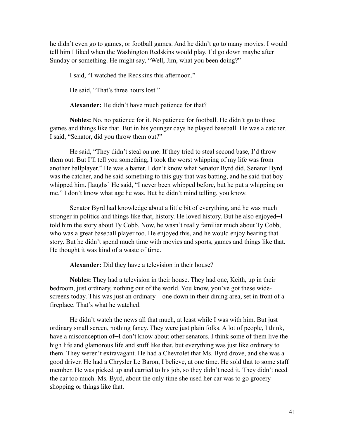he didn't even go to games, or football games. And he didn't go to many movies. I would tell him I liked when the Washington Redskins would play. I'd go down maybe after Sunday or something. He might say, "Well, Jim, what you been doing?"

I said, "I watched the Redskins this afternoon."

He said, "That's three hours lost."

**Alexander:** He didn't have much patience for that?

**Nobles:** No, no patience for it. No patience for football. He didn't go to those games and things like that. But in his younger days he played baseball. He was a catcher. I said, "Senator, did you throw them out?"

He said, "They didn't steal on me. If they tried to steal second base, I'd throw them out. But I'll tell you something, I took the worst whipping of my life was from another ballplayer." He was a batter. I don't know what Senator Byrd did. Senator Byrd was the catcher, and he said something to this guy that was batting, and he said that boy whipped him. [laughs] He said, "I never been whipped before, but he put a whipping on me." I don't know what age he was. But he didn't mind telling, you know.

 Senator Byrd had knowledge about a little bit of everything, and he was much stronger in politics and things like that, history. He loved history. But he also enjoyed—I told him the story about Ty Cobb. Now, he wasn't really familiar much about Ty Cobb, who was a great baseball player too. He enjoyed this, and he would enjoy hearing that story. But he didn't spend much time with movies and sports, games and things like that. He thought it was kind of a waste of time.

**Alexander:** Did they have a television in their house?

**Nobles:** They had a television in their house. They had one, Keith, up in their bedroom, just ordinary, nothing out of the world. You know, you've got these widescreens today. This was just an ordinary—one down in their dining area, set in front of a fireplace. That's what he watched.

 He didn't watch the news all that much, at least while I was with him. But just ordinary small screen, nothing fancy. They were just plain folks. A lot of people, I think, have a misconception of  $-I$  don't know about other senators. I think some of them live the high life and glamorous life and stuff like that, but everything was just like ordinary to them. They weren't extravagant. He had a Chevrolet that Ms. Byrd drove, and she was a good driver. He had a Chrysler Le Baron, I believe, at one time. He sold that to some staff member. He was picked up and carried to his job, so they didn't need it. They didn't need the car too much. Ms. Byrd, about the only time she used her car was to go grocery shopping or things like that.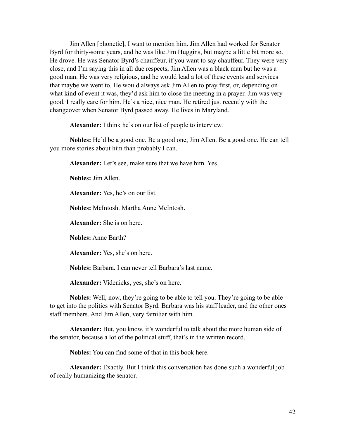Jim Allen [phonetic], I want to mention him. Jim Allen had worked for Senator Byrd for thirty-some years, and he was like Jim Huggins, but maybe a little bit more so. He drove. He was Senator Byrd's chauffeur, if you want to say chauffeur. They were very close, and I'm saying this in all due respects, Jim Allen was a black man but he was a good man. He was very religious, and he would lead a lot of these events and services that maybe we went to. He would always ask Jim Allen to pray first, or, depending on what kind of event it was, they'd ask him to close the meeting in a prayer. Jim was very good. I really care for him. He's a nice, nice man. He retired just recently with the changeover when Senator Byrd passed away. He lives in Maryland.

**Alexander:** I think he's on our list of people to interview.

**Nobles:** He'd be a good one. Be a good one, Jim Allen. Be a good one. He can tell you more stories about him than probably I can.

**Alexander:** Let's see, make sure that we have him. Yes.

**Nobles:** Jim Allen.

**Alexander:** Yes, he's on our list.

**Nobles:** McIntosh. Martha Anne McIntosh.

**Alexander:** She is on here.

**Nobles:** Anne Barth?

**Alexander:** Yes, she's on here.

**Nobles:** Barbara. I can never tell Barbara's last name.

**Alexander:** Videnieks, yes, she's on here.

**Nobles:** Well, now, they're going to be able to tell you. They're going to be able to get into the politics with Senator Byrd. Barbara was his staff leader, and the other ones staff members. And Jim Allen, very familiar with him.

**Alexander:** But, you know, it's wonderful to talk about the more human side of the senator, because a lot of the political stuff, that's in the written record.

**Nobles:** You can find some of that in this book here.

**Alexander:** Exactly. But I think this conversation has done such a wonderful job of really humanizing the senator.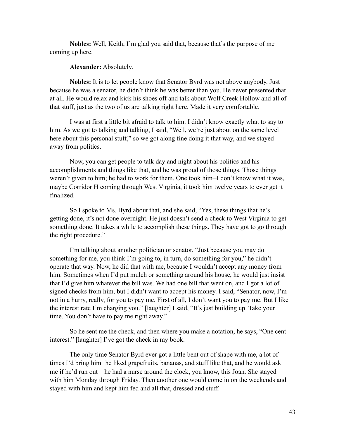**Nobles:** Well, Keith, I'm glad you said that, because that's the purpose of me coming up here.

#### **Alexander:** Absolutely.

**Nobles:** It is to let people know that Senator Byrd was not above anybody. Just because he was a senator, he didn't think he was better than you. He never presented that at all. He would relax and kick his shoes off and talk about Wolf Creek Hollow and all of that stuff, just as the two of us are talking right here. Made it very comfortable.

I was at first a little bit afraid to talk to him. I didn't know exactly what to say to him. As we got to talking and talking, I said, "Well, we're just about on the same level here about this personal stuff," so we got along fine doing it that way, and we stayed away from politics.

 Now, you can get people to talk day and night about his politics and his accomplishments and things like that, and he was proud of those things. Those things weren't given to him; he had to work for them. One took him—I don't know what it was, maybe Corridor H coming through West Virginia, it took him twelve years to ever get it finalized.

 So I spoke to Ms. Byrd about that, and she said, "Yes, these things that he's getting done, it's not done overnight. He just doesn't send a check to West Virginia to get something done. It takes a while to accomplish these things. They have got to go through the right procedure."

 I'm talking about another politician or senator, "Just because you may do something for me, you think I'm going to, in turn, do something for you," he didn't operate that way. Now, he did that with me, because I wouldn't accept any money from him. Sometimes when I'd put mulch or something around his house, he would just insist that I'd give him whatever the bill was. We had one bill that went on, and I got a lot of signed checks from him, but I didn't want to accept his money. I said, "Senator, now, I'm not in a hurry, really, for you to pay me. First of all, I don't want you to pay me. But I like the interest rate I'm charging you." [laughter] I said, "It's just building up. Take your time. You don't have to pay me right away."

 So he sent me the check, and then where you make a notation, he says, "One cent interest." [laughter] I've got the check in my book.

 The only time Senator Byrd ever got a little bent out of shape with me, a lot of times I'd bring him—he liked grapefruits, bananas, and stuff like that, and he would ask me if he'd run out—he had a nurse around the clock, you know, this Joan. She stayed with him Monday through Friday. Then another one would come in on the weekends and stayed with him and kept him fed and all that, dressed and stuff.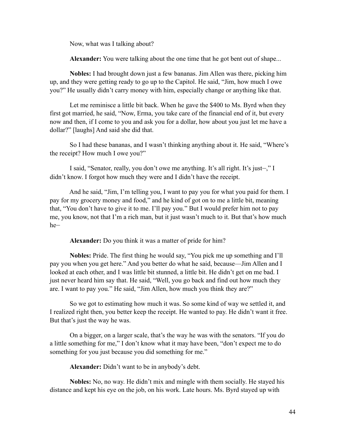Now, what was I talking about?

**Alexander:** You were talking about the one time that he got bent out of shape...

**Nobles:** I had brought down just a few bananas. Jim Allen was there, picking him up, and they were getting ready to go up to the Capitol. He said, "Jim, how much I owe you?" He usually didn't carry money with him, especially change or anything like that.

 Let me reminisce a little bit back. When he gave the \$400 to Ms. Byrd when they first got married, he said, "Now, Erma, you take care of the financial end of it, but every now and then, if I come to you and ask you for a dollar, how about you just let me have a dollar?" [laughs] And said she did that.

 So I had these bananas, and I wasn't thinking anything about it. He said, "Where's the receipt? How much I owe you?"

 I said, "Senator, really, you don't owe me anything. It's all right. It's just—," I didn't know. I forgot how much they were and I didn't have the receipt.

 And he said, "Jim, I'm telling you, I want to pay you for what you paid for them. I pay for my grocery money and food," and he kind of got on to me a little bit, meaning that, "You don't have to give it to me. I'll pay you." But I would prefer him not to pay me, you know, not that I'm a rich man, but it just wasn't much to it. But that's how much he—

**Alexander:** Do you think it was a matter of pride for him?

**Nobles:** Pride. The first thing he would say, "You pick me up something and I'll pay you when you get here." And you better do what he said, because—Jim Allen and I looked at each other, and I was little bit stunned, a little bit. He didn't get on me bad. I just never heard him say that. He said, "Well, you go back and find out how much they are. I want to pay you." He said, "Jim Allen, how much you think they are?"

 So we got to estimating how much it was. So some kind of way we settled it, and I realized right then, you better keep the receipt. He wanted to pay. He didn't want it free. But that's just the way he was.

 On a bigger, on a larger scale, that's the way he was with the senators. "If you do a little something for me," I don't know what it may have been, "don't expect me to do something for you just because you did something for me."

**Alexander:** Didn't want to be in anybody's debt.

**Nobles:** No, no way. He didn't mix and mingle with them socially. He stayed his distance and kept his eye on the job, on his work. Late hours. Ms. Byrd stayed up with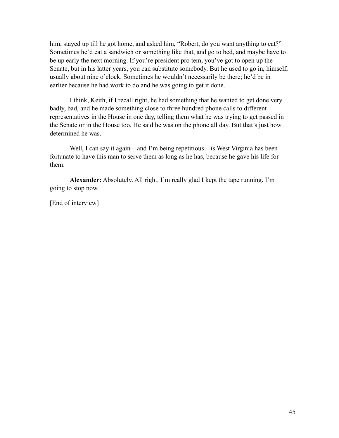him, stayed up till he got home, and asked him, "Robert, do you want anything to eat?" Sometimes he'd eat a sandwich or something like that, and go to bed, and maybe have to be up early the next morning. If you're president pro tem, you've got to open up the Senate, but in his latter years, you can substitute somebody. But he used to go in, himself, usually about nine o'clock. Sometimes he wouldn't necessarily be there; he'd be in earlier because he had work to do and he was going to get it done.

 I think, Keith, if I recall right, he had something that he wanted to get done very badly, bad, and he made something close to three hundred phone calls to different representatives in the House in one day, telling them what he was trying to get passed in the Senate or in the House too. He said he was on the phone all day. But that's just how determined he was.

Well, I can say it again—and I'm being repetitious—is West Virginia has been fortunate to have this man to serve them as long as he has, because he gave his life for them.

**Alexander:** Absolutely. All right. I'm really glad I kept the tape running. I'm going to stop now.

[End of interview]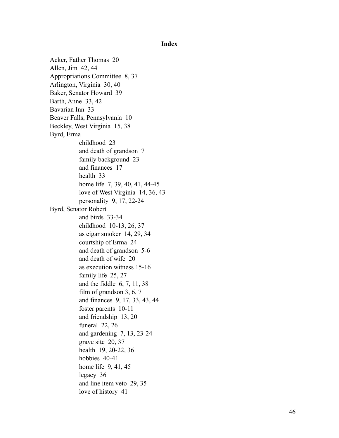<span id="page-45-0"></span>**Index**

Acker, Father Thomas 20 Allen, Jim 42, 44 Appropriations Committee 8, 37 Arlington, Virginia 30, 40 Baker, Senator Howard 39 Barth, Anne 33, 42 Bavarian Inn 33 Beaver Falls, Pennsylvania 10 Beckley, West Virginia 15, 38 Byrd, Erma childhood 23 and death of grandson 7 family background 23 and finances 17 health 33 home life 7, 39, 40, 41, 44-45 love of West Virginia 14, 36, 43 personality 9, 17, 22-24 Byrd, Senator Robert and birds 33-34 childhood 10-13, 26, 37 as cigar smoker 14, 29, 34 courtship of Erma 24 and death of grandson 5-6 and death of wife 20 as execution witness 15-16 family life 25, 27 and the fiddle 6, 7, 11, 38 film of grandson 3, 6, 7 and finances 9, 17, 33, 43, 44 foster parents 10-11 and friendship 13, 20 funeral 22, 26 and gardening 7, 13, 23-24 grave site 20, 37 health 19, 20-22, 36 hobbies 40-41 home life 9, 41, 45 legacy 36 and line item veto 29, 35 love of history 41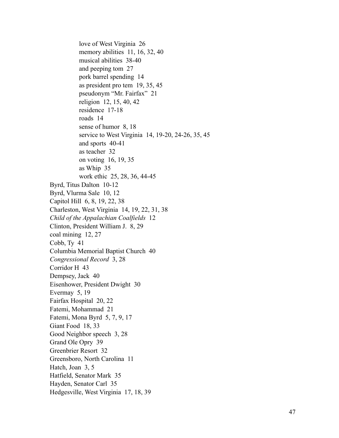love of West Virginia 26 memory abilities 11, 16, 32, 40 musical abilities 38-40 and peeping tom 27 pork barrel spending 14 as president pro tem 19, 35, 45 pseudonym "Mr. Fairfax" 21 religion 12, 15, 40, 42 residence 17-18 roads 14 sense of humor 8, 18 service to West Virginia 14, 19-20, 24-26, 35, 45 and sports 40-41 as teacher 32 on voting 16, 19, 35 as Whip 35 work ethic 25, 28, 36, 44-45 Byrd, Titus Dalton 10-12 Byrd, Vlurma Sale 10, 12 Capitol Hill 6, 8, 19, 22, 38 Charleston, West Virginia 14, 19, 22, 31, 38 *Child of the Appalachian Coalfields* 12 Clinton, President William J. 8, 29 coal mining 12, 27 Cobb, Ty 41 Columbia Memorial Baptist Church 40 *Congressional Record* 3, 28 Corridor H 43 Dempsey, Jack 40 Eisenhower, President Dwight 30 Evermay 5, 19 Fairfax Hospital 20, 22 Fatemi, Mohammad 21 Fatemi, Mona Byrd 5, 7, 9, 17 Giant Food 18, 33 Good Neighbor speech 3, 28 Grand Ole Opry 39 Greenbrier Resort 32 Greensboro, North Carolina 11 Hatch, Joan 3, 5 Hatfield, Senator Mark 35 Hayden, Senator Carl 35 Hedgesville, West Virginia 17, 18, 39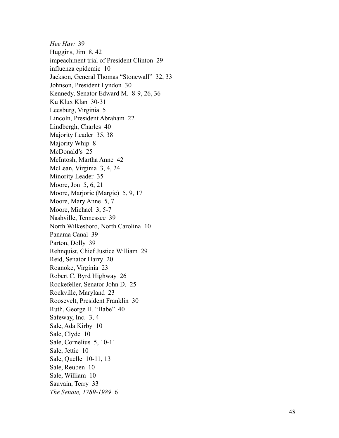*Hee Haw* 39 Huggins, Jim 8, 42 impeachment trial of President Clinton 29 influenza epidemic 10 Jackson, General Thomas "Stonewall" 32, 33 Johnson, President Lyndon 30 Kennedy, Senator Edward M. 8-9, 26, 36 Ku Klux Klan 30-31 Leesburg, Virginia 5 Lincoln, President Abraham 22 Lindbergh, Charles 40 Majority Leader 35, 38 Majority Whip 8 McDonald's 25 McIntosh, Martha Anne 42 McLean, Virginia 3, 4, 24 Minority Leader 35 Moore, Jon 5, 6, 21 Moore, Marjorie (Margie) 5, 9, 17 Moore, Mary Anne 5, 7 Moore, Michael 3, 5-7 Nashville, Tennessee 39 North Wilkesboro, North Carolina 10 Panama Canal 39 Parton, Dolly 39 Rehnquist, Chief Justice William 29 Reid, Senator Harry 20 Roanoke, Virginia 23 Robert C. Byrd Highway 26 Rockefeller, Senator John D. 25 Rockville, Maryland 23 Roosevelt, President Franklin 30 Ruth, George H. "Babe" 40 Safeway, Inc. 3, 4 Sale, Ada Kirby 10 Sale, Clyde 10 Sale, Cornelius 5, 10-11 Sale, Jettie 10 Sale, Quelle 10-11, 13 Sale, Reuben 10 Sale, William 10 Sauvain, Terry 33 *The Senate, 1789-1989* 6